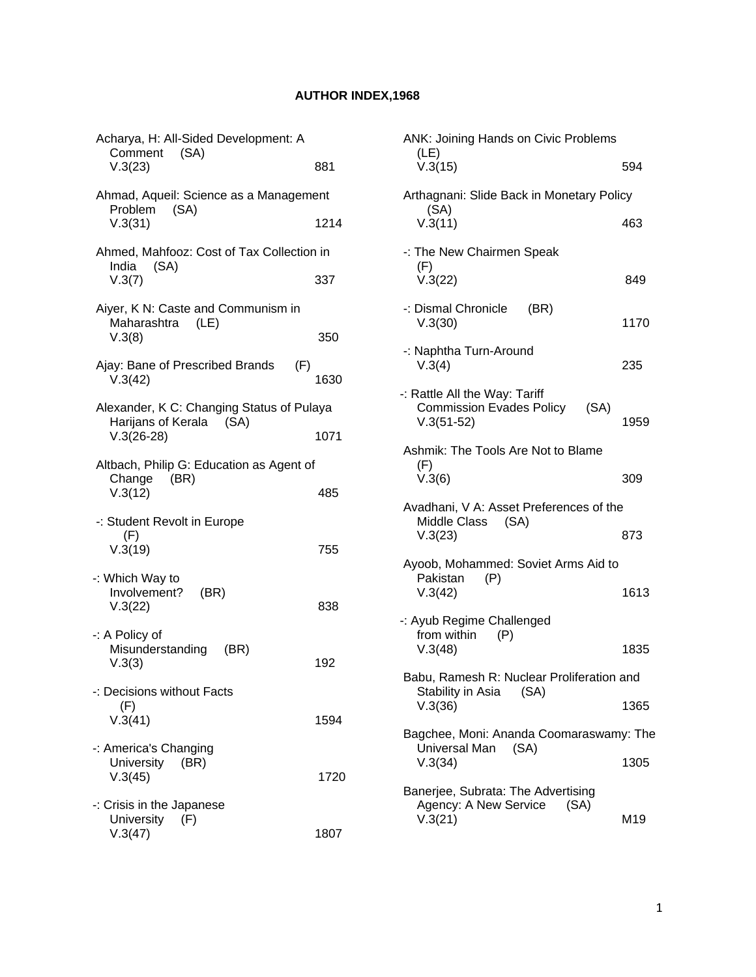## **AUTHOR INDEX,1968**

| Acharya, H: All-Sided Development: A<br>Comment (SA)                 |      |
|----------------------------------------------------------------------|------|
| V.3(23)                                                              | 881  |
| Ahmad, Aqueil: Science as a Management<br>(SA)<br>Problem            |      |
| V.3(31)                                                              | 1214 |
| Ahmed, Mahfooz: Cost of Tax Collection in<br>(SA)<br>India           |      |
| V.3(7)                                                               | 337  |
| Aiyer, K N: Caste and Communism in<br>Maharashtra (LE)<br>V.3(8)     | 350  |
|                                                                      |      |
| Ajay: Bane of Prescribed Brands<br>(F)<br>V.3(42)                    | 1630 |
| Alexander, K C: Changing Status of Pulaya<br>Harijans of Kerala (SA) |      |
| $V.3(26-28)$                                                         | 1071 |
| Altbach, Philip G: Education as Agent of<br>Change<br>(BR)           |      |
| V.3(12)                                                              | 485  |
| -: Student Revolt in Europe<br>(F)                                   |      |
| V.3(19)                                                              | 755  |
| -: Which Way to<br>Involvement?<br>(BR)                              |      |
| V.3(22)                                                              | 838  |
| -: A Policy of<br>Misunderstanding<br>(BR)                           |      |
| V.3(3)                                                               | 192  |
| -: Decisions without Facts<br>(F)                                    |      |
| V.3(41)                                                              | 1594 |
| -: America's Changing<br>University<br>(BR)                          |      |
| V.3(45)                                                              | 1720 |
| -: Crisis in the Japanese<br>University (F)                          |      |
| V.3(47)                                                              | 1807 |

| <b>ANK: Joining Hands on Civic Problems</b><br>(LE)                                      |      |
|------------------------------------------------------------------------------------------|------|
| V.3(15)                                                                                  | 594  |
| Arthagnani: Slide Back in Monetary Policy<br>(SA)                                        |      |
| V.3(11)                                                                                  | 463  |
| -: The New Chairmen Speak<br>(F)                                                         |      |
| V.3(22)                                                                                  | 849  |
| -: Dismal Chronicle<br>(BR)<br>V.3(30)                                                   | 1170 |
| -: Naphtha Turn-Around<br>V.3(4)                                                         | 235  |
| -: Rattle All the Way: Tariff<br><b>Commission Evades Policy</b><br>(SA)<br>$V.3(51-52)$ | 1959 |
| Ashmik: The Tools Are Not to Blame                                                       |      |
| (F)<br>V.3(6)                                                                            | 309  |
| Avadhani, V A: Asset Preferences of the<br>Middle Class (SA)                             |      |
| V.3(23)                                                                                  | 873  |
| Ayoob, Mohammed: Soviet Arms Aid to<br>Pakistan<br>(P)                                   |      |
| V.3(42)                                                                                  | 1613 |
| -: Ayub Regime Challenged<br>from within<br>(P)                                          |      |
| V.3(48)                                                                                  | 1835 |
| Babu, Ramesh R: Nuclear Proliferation and<br>Stability in Asia (SA)                      |      |
| V.3(36)                                                                                  | 1365 |
| Bagchee, Moni: Ananda Coomaraswamy: The<br>Universal Man (SA)                            |      |
| V.3(34)                                                                                  | 1305 |
| Banerjee, Subrata: The Advertising<br>Agency: A New Service<br>(SA)                      |      |
| V.3(21)                                                                                  | M19  |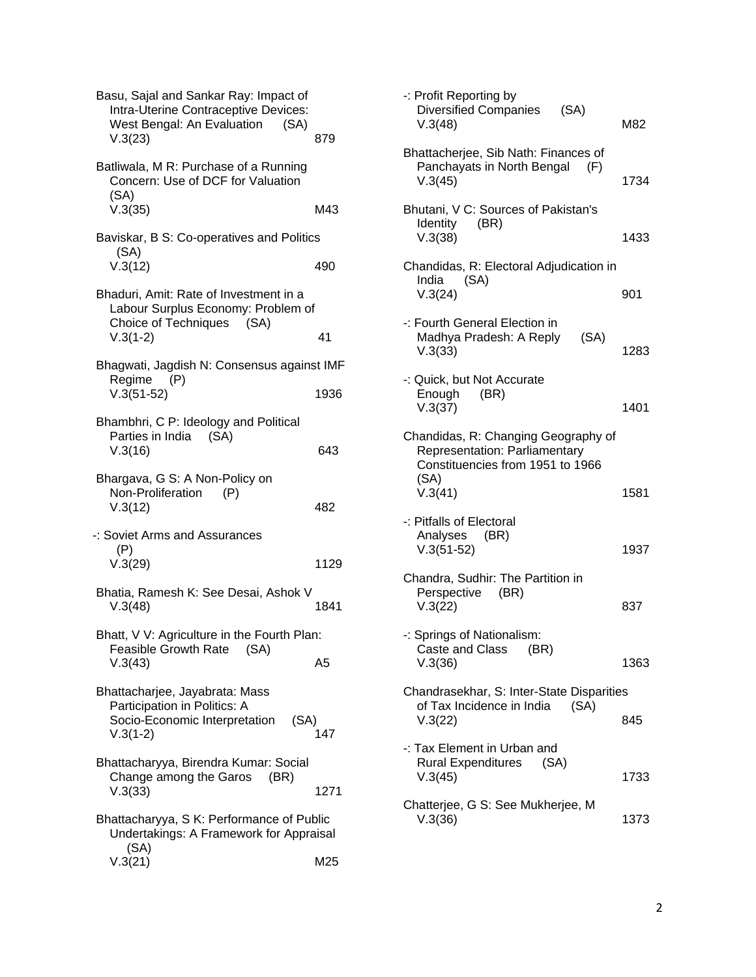| Basu, Sajal and Sankar Ray: Impact of<br>Intra-Uterine Contraceptive Devices:<br>West Bengal: An Evaluation<br>(SA)<br>V.3(23)<br>Batliwala, M R: Purchase of a Running | 879  |
|-------------------------------------------------------------------------------------------------------------------------------------------------------------------------|------|
| Concern: Use of DCF for Valuation<br>(SA)<br>V.3(35)                                                                                                                    | M43  |
| Baviskar, B S: Co-operatives and Politics<br>(SA)                                                                                                                       |      |
| V.3(12)                                                                                                                                                                 | 490  |
| Bhaduri, Amit: Rate of Investment in a<br>Labour Surplus Economy: Problem of<br>Choice of Techniques<br>(SA)                                                            |      |
| $V.3(1-2)$                                                                                                                                                              | 41   |
| Bhagwati, Jagdish N: Consensus against IMF                                                                                                                              |      |
| Regime (P)<br>$V.3(51-52)$                                                                                                                                              | 1936 |
| Bhambhri, C P: Ideology and Political<br>Parties in India (SA)<br>V.3(16)                                                                                               | 643  |
| Bhargava, G S: A Non-Policy on<br>Non-Proliferation<br>(P)<br>V.3(12)                                                                                                   | 482  |
| -: Soviet Arms and Assurances<br>(P)<br>V.3(29)                                                                                                                         | 1129 |
| Bhatia, Ramesh K: See Desai, Ashok V<br>V.3(48)                                                                                                                         | 1841 |
| Bhatt, V V: Agriculture in the Fourth Plan:                                                                                                                             |      |
| Feasible Growth Rate<br>(SA)<br>V.3(43)                                                                                                                                 | A5   |
| Bhattacharjee, Jayabrata: Mass<br>Participation in Politics: A<br>Socio-Economic Interpretation<br>(SA)<br>$V.3(1-2)$                                                   | 147  |
| Bhattacharyya, Birendra Kumar: Social<br>Change among the Garos<br>(BR)<br>V.3(33)                                                                                      | 1271 |
| Bhattacharyya, S K: Performance of Public<br>Undertakings: A Framework for Appraisal                                                                                    |      |
| (SA)<br>V.3(21)                                                                                                                                                         | M25  |

| -: Profit Reporting by<br><b>Diversified Companies</b><br>(SA)<br>V.3(48)                                                   | M82  |
|-----------------------------------------------------------------------------------------------------------------------------|------|
| Bhattacherjee, Sib Nath: Finances of<br>Panchayats in North Bengal<br>(F)<br>V.3(45)                                        | 1734 |
| Bhutani, V C: Sources of Pakistan's<br>Identity<br>(BR)<br>V.3(38)                                                          | 1433 |
| Chandidas, R: Electoral Adjudication in<br>India<br>(SA)<br>V.3(24)                                                         | 901  |
| -: Fourth General Election in<br>Madhya Pradesh: A Reply<br>(SA)<br>V.3(33)                                                 | 1283 |
| -: Quick, but Not Accurate<br>Enough<br>(BR)<br>V.3(37)                                                                     | 1401 |
| Chandidas, R: Changing Geography of<br>Representation: Parliamentary<br>Constituencies from 1951 to 1966<br>(SA)<br>V.3(41) | 1581 |
| -: Pitfalls of Electoral<br>Analyses (BR)<br>$V.3(51-52)$                                                                   | 1937 |
| Chandra, Sudhir: The Partition in<br>Perspective (BR)<br>V.3(22)                                                            | 837  |
| -: Springs of Nationalism:<br>Caste and Class (BR)<br>V.3(36)                                                               | 1363 |
| Chandrasekhar, S: Inter-State Disparities<br>of Tax Incidence in India<br>(SA)<br>V.3(22)                                   | 845  |
| -: Tax Element in Urban and<br>Rural Expenditures (SA)<br>V.3(45)                                                           | 1733 |
| Chatterjee, G S: See Mukherjee, M<br>V.3(36)                                                                                | 1373 |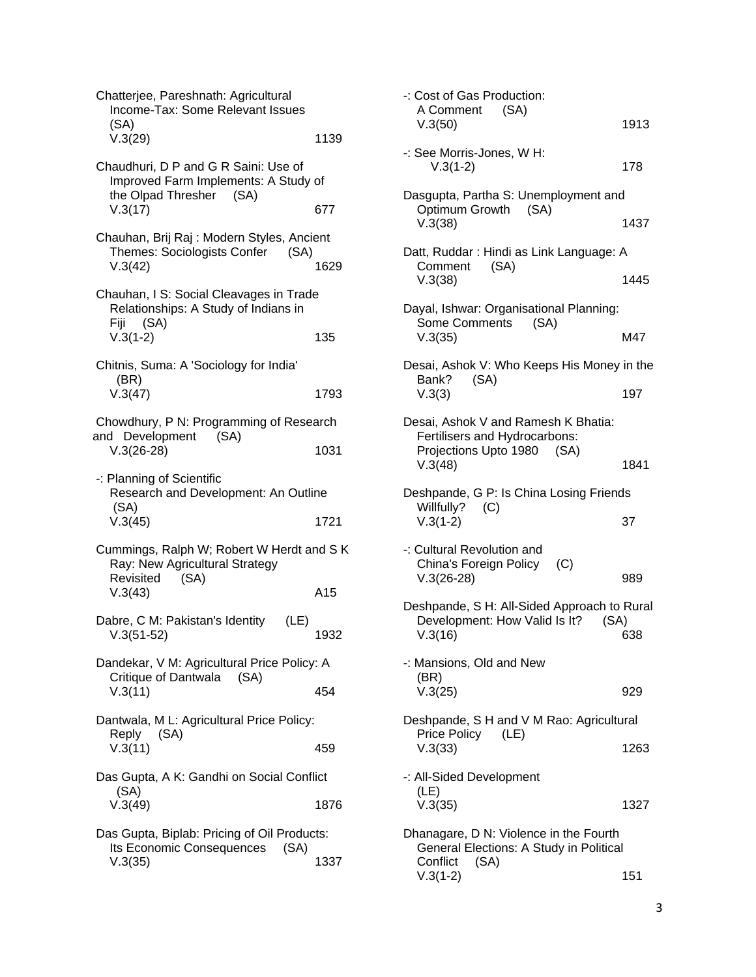| Chatterjee, Pareshnath: Agricultural<br>Income-Tax: Some Relevant Issues<br>(SA)                        |      |
|---------------------------------------------------------------------------------------------------------|------|
| V.3(29)                                                                                                 | 1139 |
| Chaudhuri, D P and G R Saini: Use of<br>Improved Farm Implements: A Study of<br>the Olpad Thresher (SA) |      |
| V.3(17)                                                                                                 | 677  |
| Chauhan, Brij Raj : Modern Styles, Ancient<br>Themes: Sociologists Confer<br>(SA)<br>V.3(42)            | 1629 |
| Chauhan, I S: Social Cleavages in Trade<br>Relationships: A Study of Indians in<br>Fiji (SA)            |      |
| $V.3(1-2)$                                                                                              | 135  |
| Chitnis, Suma: A 'Sociology for India'<br>(BR)                                                          |      |
| V.3(47)                                                                                                 | 1793 |
| Chowdhury, P N: Programming of Research                                                                 |      |
| and Development (SA)<br>$V.3(26-28)$                                                                    | 1031 |
| -: Planning of Scientific<br>Research and Development: An Outline<br>(SA)                               |      |
| V.3(45)                                                                                                 | 1721 |
|                                                                                                         |      |
| Cummings, Ralph W; Robert W Herdt and S K<br>Ray: New Agricultural Strategy<br>Revisited                |      |
| (SA)<br>V.3(43)                                                                                         | A15  |
| Dabre, C M: Pakistan's Identity<br>(LE)<br>$V.3(51-52)$                                                 | 1932 |
| Dandekar, V M: Agricultural Price Policy: A                                                             |      |
| Critique of Dantwala (SA)<br>V.3(11)                                                                    | 454  |
| Dantwala, M L: Agricultural Price Policy:                                                               |      |
| (SA)<br>Reply<br>V.3(11)                                                                                | 459  |
| Das Gupta, A K: Gandhi on Social Conflict                                                               |      |
| (SA)<br>V.3(49)                                                                                         | 1876 |
| Das Gupta, Biplab: Pricing of Oil Products:<br>Its Economic Consequences (SA)                           |      |

| -: Cost of Gas Production:<br>A Comment (SA)<br>V.3(50)                                                             | 1913 |
|---------------------------------------------------------------------------------------------------------------------|------|
| -: See Morris-Jones, W H:<br>$V.3(1-2)$                                                                             | 178  |
| Dasgupta, Partha S: Unemployment and<br>Optimum Growth (SA)<br>V.3(38)                                              | 1437 |
| Datt, Ruddar: Hindi as Link Language: A<br>Comment<br>(SA)<br>V.3(38)                                               | 1445 |
| Dayal, Ishwar: Organisational Planning:<br>Some Comments (SA)<br>V.3(35)                                            | M47  |
| Desai, Ashok V: Who Keeps His Money in the<br>Bank?<br>(SA)<br>V.3(3)                                               | 197  |
| Desai, Ashok V and Ramesh K Bhatia:<br>Fertilisers and Hydrocarbons:<br>Projections Upto 1980 (SA)<br>V.3(48)       | 1841 |
| Deshpande, G P: Is China Losing Friends<br>Willfully?<br>(C)<br>$V.3(1-2)$                                          | 37   |
| -: Cultural Revolution and<br>China's Foreign Policy<br>(C)<br>$V.3(26-28)$                                         | 989  |
| Deshpande, S H: All-Sided Approach to Rural<br>Development: How Valid Is It?<br>(SA)<br>V.3(16)                     | 638  |
| -: Mansions, Old and New<br>(BR)<br>V.3(25)                                                                         | 929  |
| Deshpande, S H and V M Rao: Agricultural<br>Price Policy<br>(LE)<br>V.3(33)                                         | 1263 |
| -: All-Sided Development<br>(LE)<br>V.3(35)                                                                         | 1327 |
| Dhanagare, D N: Violence in the Fourth<br>General Elections: A Study in Political<br>(SA)<br>Confiict<br>$V.3(1-2)$ | 151  |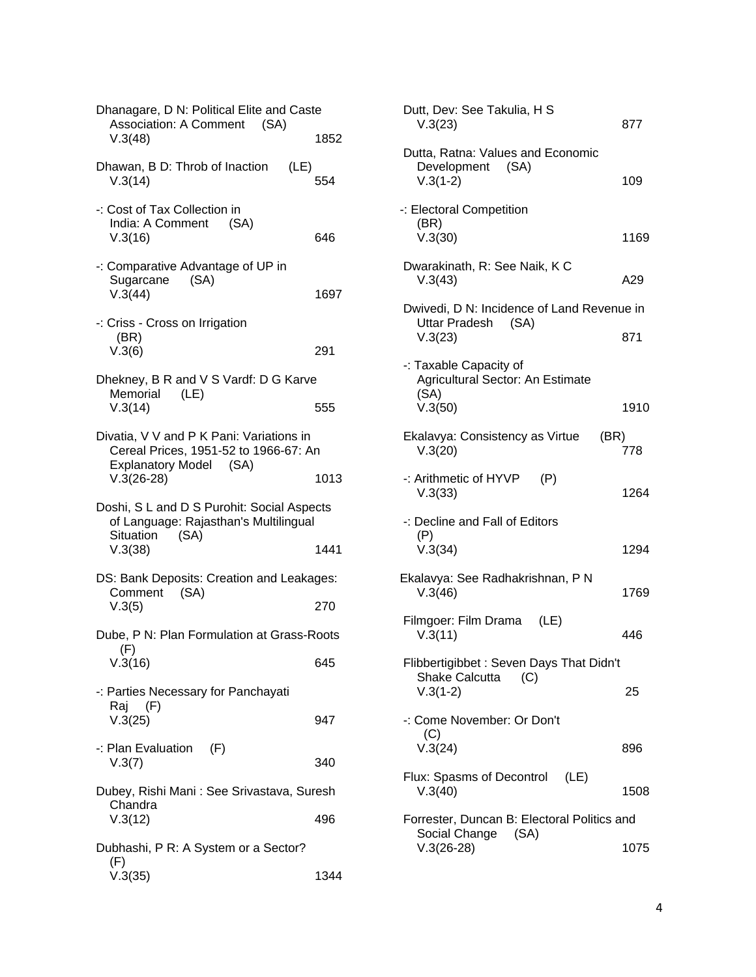| Dhanagare, D N: Political Elite and Caste<br><b>Association: A Comment</b>                                  |      |
|-------------------------------------------------------------------------------------------------------------|------|
| (SA)<br>V.3(48)                                                                                             | 1852 |
| Dhawan, B D: Throb of Inaction<br>(LE)<br>V.3(14)                                                           | 554  |
| -: Cost of Tax Collection in<br>India: A Comment<br>(SA)<br>V.3(16)                                         | 646  |
| -: Comparative Advantage of UP in<br>Sugarcane<br>(SA)<br>V.3(44)                                           | 1697 |
| -: Criss - Cross on Irrigation<br>(BR)<br>V.3(6)                                                            | 291  |
| Dhekney, B R and V S Vardf: D G Karve                                                                       |      |
| Memorial (LE)<br>V.3(14)                                                                                    | 555  |
| Divatia, V V and P K Pani: Variations in<br>Cereal Prices, 1951-52 to 1966-67: An<br>Explanatory Model (SA) |      |
| $V.3(26-28)$                                                                                                | 1013 |
|                                                                                                             |      |
| Doshi, S L and D S Purohit: Social Aspects<br>of Language: Rajasthan's Multilingual                         |      |
| (SA)<br>Situation<br>V.3(38)                                                                                | 1441 |
| DS: Bank Deposits: Creation and Leakages:                                                                   |      |
| Comment (SA)<br>V.3(5)                                                                                      | 270  |
| Dube, P N: Plan Formulation at Grass-Roots                                                                  |      |
| (F)<br>V.3(16)                                                                                              | 645  |
| -: Parties Necessary for Panchayati                                                                         |      |
| Raj (F)<br>V.3(25)                                                                                          | 947  |
| -: Plan Evaluation (F)<br>V.3(7)                                                                            | 340  |
| Dubey, Rishi Mani: See Srivastava, Suresh                                                                   |      |
| Chandra<br>V.3(12)                                                                                          | 496  |
| Dubhashi, P R: A System or a Sector?<br>(F)                                                                 |      |

| Dutt, Dev: See Takulia, H S<br>V.3(23)                                                | 877  |
|---------------------------------------------------------------------------------------|------|
| Dutta, Ratna: Values and Economic<br>Development (SA)<br>$V.3(1-2)$                   | 109  |
| -: Electoral Competition<br>(BR)<br>V.3(30)                                           | 1169 |
| Dwarakinath, R: See Naik, K C<br>V.3(43)                                              | A29  |
| Dwivedi, D N: Incidence of Land Revenue in<br>Uttar Pradesh (SA)<br>V.3(23)           | 871  |
| -: Taxable Capacity of<br>Agricultural Sector: An Estimate<br>(SA)<br>V.3(50)         | 1910 |
| Ekalavya: Consistency as Virtue<br>(BR)<br>V.3(20)                                    | 778  |
| -: Arithmetic of HYVP<br>(P)<br>V.3(33)                                               | 1264 |
| -: Decline and Fall of Editors<br>(P)<br>V.3(34)                                      | 1294 |
| Ekalavya: See Radhakrishnan, P N<br>V.3(46)                                           | 1769 |
| Filmgoer: Film Drama<br>(LE)<br>V.3(11)                                               | 446  |
| Flibbertigibbet: Seven Days That Didn't<br><b>Shake Calcutta</b><br>(C)<br>$V.3(1-2)$ | 25   |
| -: Come November: Or Don't<br>(C)<br>V.3(24)                                          | 896  |
| Flux: Spasms of Decontrol<br>(LE)<br>V.3(40)                                          | 1508 |
| Forrester, Duncan B: Electoral Politics and<br>Social Change (SA)<br>$V.3(26-28)$     | 1075 |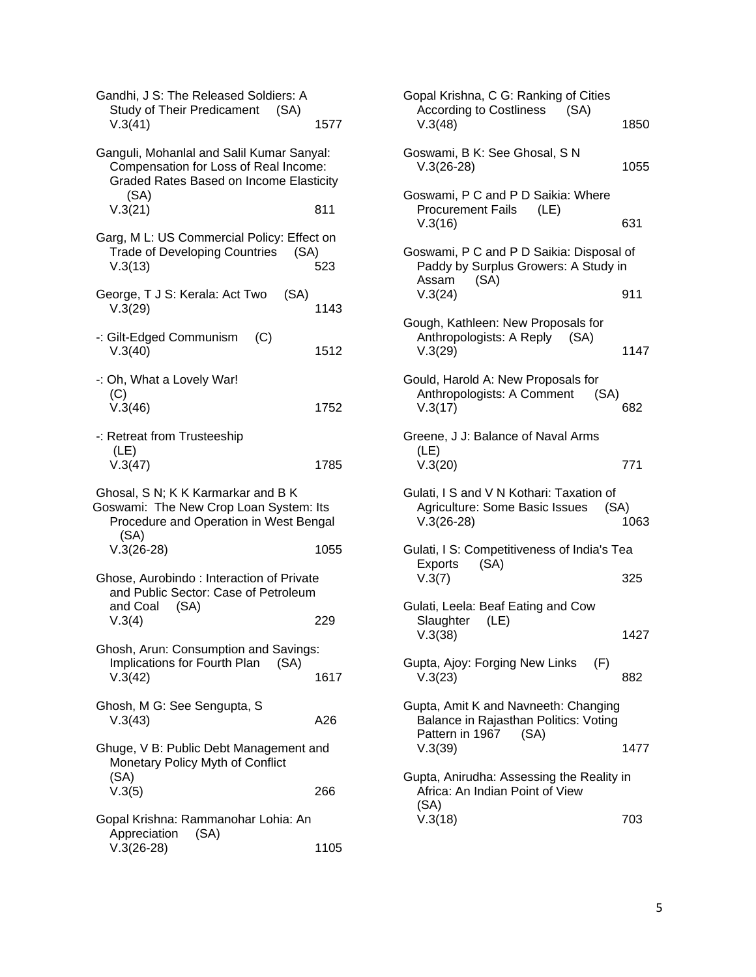| Gandhi, J S: The Released Soldiers: A<br><b>Study of Their Predicament</b><br>(SA)<br>V.3(41)                                                | 1577 |
|----------------------------------------------------------------------------------------------------------------------------------------------|------|
| Ganguli, Mohanlal and Salil Kumar Sanyal:<br>Compensation for Loss of Real Income:<br><b>Graded Rates Based on Income Elasticity</b><br>(SA) |      |
| V.3(21)                                                                                                                                      | 811  |
| Garg, M L: US Commercial Policy: Effect on<br><b>Trade of Developing Countries</b><br>(SA)<br>V.3(13)                                        | 523  |
| George, T J S: Kerala: Act Two<br>(SA)<br>V.3(29)                                                                                            | 1143 |
| -: Gilt-Edged Communism<br>(C)<br>V.3(40)                                                                                                    | 1512 |
| -: Oh, What a Lovely War!<br>(C)<br>V.3(46)                                                                                                  | 1752 |
| -: Retreat from Trusteeship<br>(LE)<br>V.3(47)                                                                                               | 1785 |
| Ghosal, S N; K K Karmarkar and B K<br>Goswami: The New Crop Loan System: Its<br>Procedure and Operation in West Bengal<br>(SA)               |      |
| $V.3(26-28)$                                                                                                                                 | 1055 |
| Ghose, Aurobindo: Interaction of Private<br>and Public Sector: Case of Petroleum<br>and Coal<br>(SA)                                         |      |
| V.3(4)                                                                                                                                       | 229  |
| Ghosh, Arun: Consumption and Savings:                                                                                                        |      |
| Implications for Fourth Plan<br>(SA)<br>V.3(42)                                                                                              | 1617 |
| Ghosh, M G: See Sengupta, S<br>V.3(43)                                                                                                       | A26  |
| Ghuge, V B: Public Debt Management and<br>Monetary Policy Myth of Conflict<br>(SA)                                                           |      |
| V.3(5)                                                                                                                                       | 266  |
| Gopal Krishna: Rammanohar Lohia: An<br>Appreciation<br>(SA)                                                                                  |      |
| $V.3(26-28)$                                                                                                                                 | 1105 |

| 7      | Gopal Krishna, C G: Ranking of Cities<br><b>According to Costliness</b><br>(SA)<br>V.3(48)                          | 1850 |
|--------|---------------------------------------------------------------------------------------------------------------------|------|
|        | Goswami, B K: See Ghosal, S N<br>$V.3(26-28)$                                                                       | 1055 |
| V      | Goswami, P C and P D Saikia: Where<br><b>Procurement Fails</b><br>(LE)<br>V.3(16)                                   | 631  |
| ١<br>š | Goswami, P C and P D Saikia: Disposal of<br>Paddy by Surplus Growers: A Study in<br>Assam<br>(SA)                   |      |
| 13     | V.3(24)<br>Gough, Kathleen: New Proposals for                                                                       | 911  |
| 12     | Anthropologists: A Reply (SA)<br>V.3(29)                                                                            | 1147 |
| 52     | Gould, Harold A: New Proposals for<br>Anthropologists: A Comment<br>(SA)<br>V.3(17)                                 | 682  |
| 35     | Greene, J J: Balance of Naval Arms<br>(LE)<br>V.3(20)                                                               | 771  |
| I      | Gulati, I S and V N Kothari: Taxation of<br>Agriculture: Some Basic Issues<br>(SA)<br>$V.3(26-28)$                  | 1063 |
| 55     | Gulati, I S: Competitiveness of India's Tea<br><b>Exports</b><br>(SA)<br>V.3(7)                                     | 325  |
|        | Gulati, Leela: Beaf Eating and Cow<br>Slaughter<br>(LE)<br>V.3(38)                                                  | 1427 |
| 17     | Gupta, Ajoy: Forging New Links<br>(F)<br>V.3(23)                                                                    | 882  |
| ΰ      | Gupta, Amit K and Navneeth: Changing<br>Balance in Rajasthan Politics: Voting<br>Pattern in 1967<br>(SA)<br>V.3(39) | 1477 |
|        | Gupta, Anirudha: Assessing the Reality in<br>Africa: An Indian Point of View<br>(SA)                                |      |
|        | V.3(18)                                                                                                             | 703  |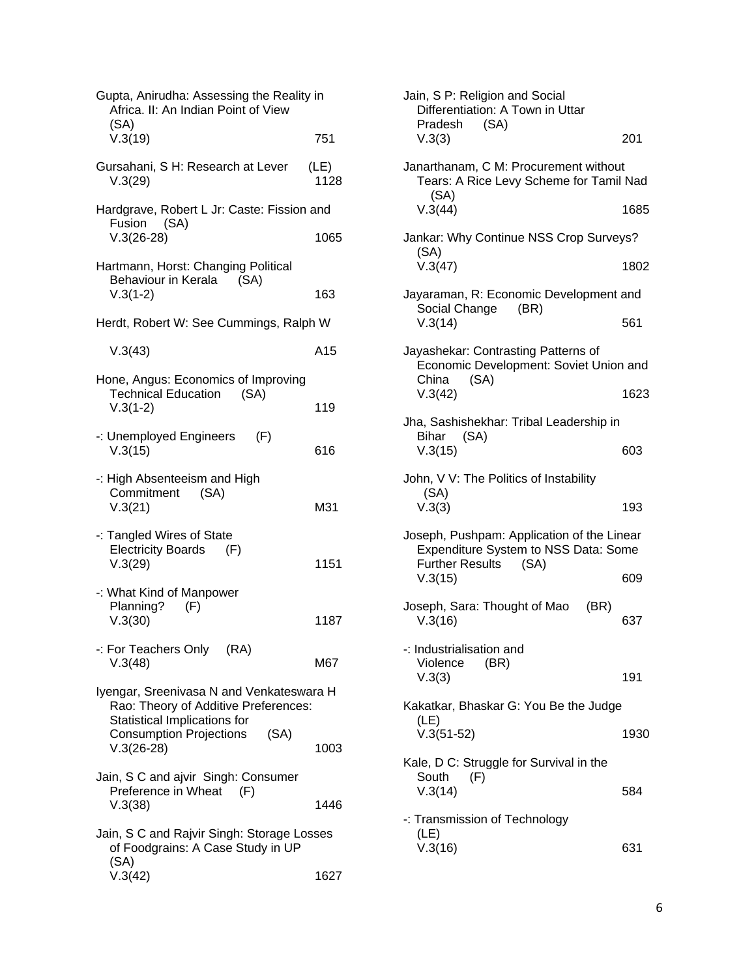| Gupta, Anirudha: Assessing the Reality in<br>Africa. II: An Indian Point of View                                 |              |
|------------------------------------------------------------------------------------------------------------------|--------------|
| (SA)<br>V.3(19)                                                                                                  | 751          |
| Gursahani, S H: Research at Lever<br>V.3(29)                                                                     | (LE)<br>1128 |
| Hardgrave, Robert L Jr: Caste: Fission and<br>Fusion (SA)                                                        |              |
| $V.3(26-28)$                                                                                                     | 1065         |
| Hartmann, Horst: Changing Political<br>Behaviour in Kerala<br>(SA)<br>$V.3(1-2)$                                 | 163          |
| Herdt, Robert W: See Cummings, Ralph W                                                                           |              |
| V.3(43)                                                                                                          | A15          |
| Hone, Angus: Economics of Improving<br><b>Technical Education</b><br>(SA)                                        |              |
| $V.3(1-2)$                                                                                                       | 119          |
| -: Unemployed Engineers<br>(F)<br>V.3(15)                                                                        | 616          |
| -: High Absenteeism and High<br>Commitment (SA)<br>V.3(21)                                                       | M31          |
| -: Tangled Wires of State<br><b>Electricity Boards</b><br>(F)<br>V.3(29)                                         | 1151         |
| -: What Kind of Manpower<br>Planning?<br>(F)                                                                     |              |
| V.3(30)                                                                                                          | 1187         |
| -: For Teachers Only (RA)<br>V.3(48)                                                                             | M67          |
| Iyengar, Sreenivasa N and Venkateswara H<br>Rao: Theory of Additive Preferences:<br>Statistical Implications for |              |
| <b>Consumption Projections</b><br>(SA)<br>$V.3(26-28)$                                                           | 1003         |
| Jain, S C and ajvir Singh: Consumer<br>Preference in Wheat<br>(F)                                                |              |
| V.3(38)                                                                                                          | 1446         |
| Jain, S C and Rajvir Singh: Storage Losses<br>of Foodgrains: A Case Study in UP<br>(SA)                          |              |
| V.3(42)                                                                                                          | 1627         |

| Jain, S P: Religion and Social<br>Differentiation: A Town in Uttar<br>Pradesh<br>(SA)                                |      |
|----------------------------------------------------------------------------------------------------------------------|------|
| V.3(3)                                                                                                               | 201  |
| Janarthanam, C M: Procurement without<br>Tears: A Rice Levy Scheme for Tamil Nad<br>(SA)                             |      |
| V.3(44)                                                                                                              | 1685 |
| Jankar: Why Continue NSS Crop Surveys?<br>(SA)                                                                       |      |
| V.3(47)                                                                                                              | 1802 |
| Jayaraman, R: Economic Development and<br>Social Change<br>(BR)                                                      |      |
| V.3(14)                                                                                                              | 561  |
| Jayashekar: Contrasting Patterns of<br>Economic Development: Soviet Union and<br>(SA)<br>China                       |      |
| V.3(42)                                                                                                              | 1623 |
| Jha, Sashishekhar: Tribal Leadership in                                                                              |      |
| (SA)<br>Bihar<br>V.3(15)                                                                                             | 603  |
| John, V V: The Politics of Instability<br>(SA)                                                                       |      |
| V.3(3)                                                                                                               | 193  |
| Joseph, Pushpam: Application of the Linear<br>Expenditure System to NSS Data: Some<br><b>Further Results</b><br>(SA) |      |
| V.3(15)                                                                                                              | 609  |
| Joseph, Sara: Thought of Mao<br>(BR)<br>V.3(16)                                                                      | 637  |
| -: Industrialisation and<br>Violence<br>(BR)                                                                         |      |
| V.3(3)                                                                                                               | 191  |
| Kakatkar, Bhaskar G: You Be the Judge                                                                                |      |
| (LE)<br>$V.3(51-52)$                                                                                                 | 1930 |
| Kale, D C: Struggle for Survival in the<br>South<br>(F)                                                              |      |
| V.3(14)                                                                                                              | 584  |
| -: Transmission of Technology<br>(LE)                                                                                |      |
| V.3(16)                                                                                                              | 631  |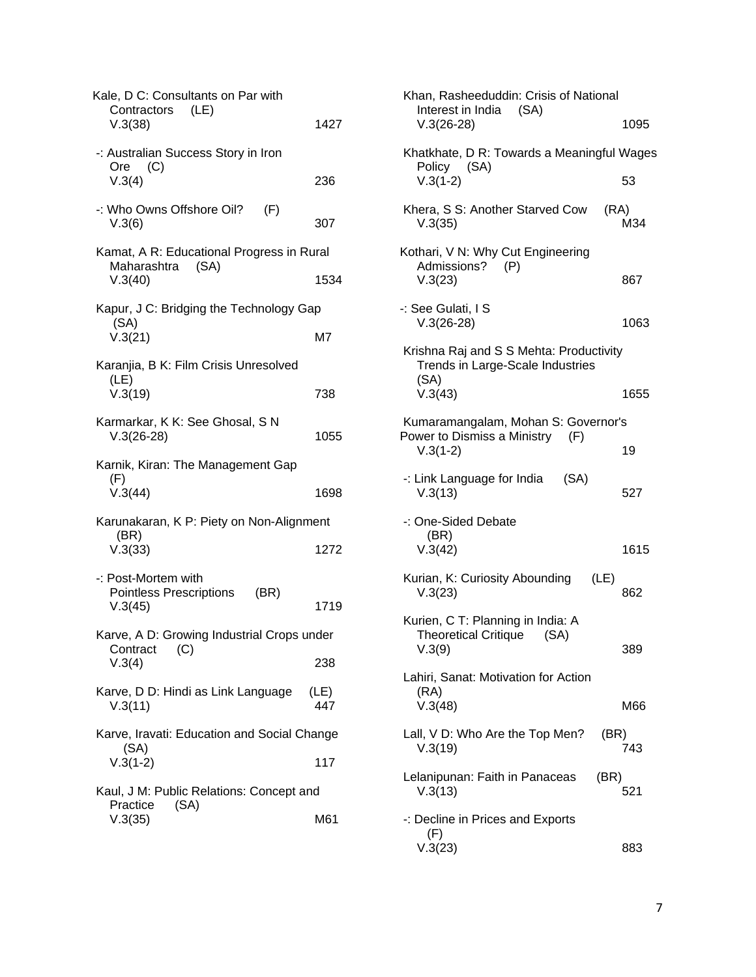| Kale, D C: Consultants on Par with<br>Contractors<br>(LE)<br>V.3(38)        | 1427        |
|-----------------------------------------------------------------------------|-------------|
| -: Australian Success Story in Iron<br>(C)<br>Ore<br>V.3(4)                 | 236         |
| -: Who Owns Offshore Oil?<br>(F)<br>V.3(6)                                  | 307         |
| Kamat, A R: Educational Progress in Rural<br>Maharashtra<br>(SA)<br>V.3(40) | 1534        |
| Kapur, J C: Bridging the Technology Gap                                     |             |
| (SA)<br>V.3(21)                                                             | M7          |
| Karanjia, B K: Film Crisis Unresolved                                       |             |
| (LE)<br>V.3(19)                                                             | 738         |
| Karmarkar, K K: See Ghosal, S N<br>$V.3(26-28)$                             | 1055        |
| Karnik, Kiran: The Management Gap                                           |             |
| (F)<br>V.3(44)                                                              | 1698        |
| Karunakaran, K P: Piety on Non-Alignment                                    |             |
| (BR)<br>V.3(33)                                                             | 1272        |
| -: Post-Mortem with                                                         |             |
| <b>Pointless Prescriptions</b><br>(BR)<br>V.3(45)                           | 1719        |
| Karve, A D: Growing Industrial Crops under                                  |             |
| (C)<br>Contract<br>V.3(4)                                                   | 238         |
| Karve, D D: Hindi as Link Language<br>V.3(11)                               | (LE)<br>447 |
| Karve, Iravati: Education and Social Change                                 |             |
| (SA)<br>$V.3(1-2)$                                                          | 117         |
| Kaul, J M: Public Relations: Concept and                                    |             |
| (SA)<br>Practice<br>V.3(35)                                                 | M61         |

| Khan, Rasheeduddin: Crisis of National<br>Interest in India (SA)                    |      |
|-------------------------------------------------------------------------------------|------|
| $V.3(26-28)$                                                                        | 1095 |
| Khatkhate, D R: Towards a Meaningful Wages                                          |      |
| Policy (SA)<br>$V.3(1-2)$                                                           | 53   |
| Khera, S S: Another Starved Cow<br>(RA)<br>V.3(35)                                  | M34  |
| Kothari, V N: Why Cut Engineering<br>Admissions?<br>(P)<br>V.3(23)                  | 867  |
| -: See Gulati, I S<br>$V.3(26-28)$                                                  | 1063 |
| Krishna Raj and S S Mehta: Productivity<br>Trends in Large-Scale Industries<br>(SA) |      |
| V.3(43)                                                                             | 1655 |
| Kumaramangalam, Mohan S: Governor's                                                 |      |
| Power to Dismiss a Ministry<br>(F)<br>$V.3(1-2)$                                    | 19   |
| -: Link Language for India<br>(SA)<br>V.3(13)                                       | 527  |
| -: One-Sided Debate<br>(BR)<br>V.3(42)                                              | 1615 |
| Kurian, K: Curiosity Abounding<br>(LE)<br>V.3(23)                                   | 862  |
| Kurien, C T: Planning in India: A<br><b>Theoretical Critique</b><br>(SA)<br>V.3(9)  | 389  |
| Lahiri, Sanat: Motivation for Action<br>(RA)<br>V.3(48)                             | M66  |
| Lall, V D: Who Are the Top Men?<br>(BR)<br>V.3(19)                                  | 743  |
| Lelanipunan: Faith in Panaceas<br>(BR)<br>V.3(13)                                   | 521  |
| -: Decline in Prices and Exports<br>(F)<br>V.3(23)                                  | 883  |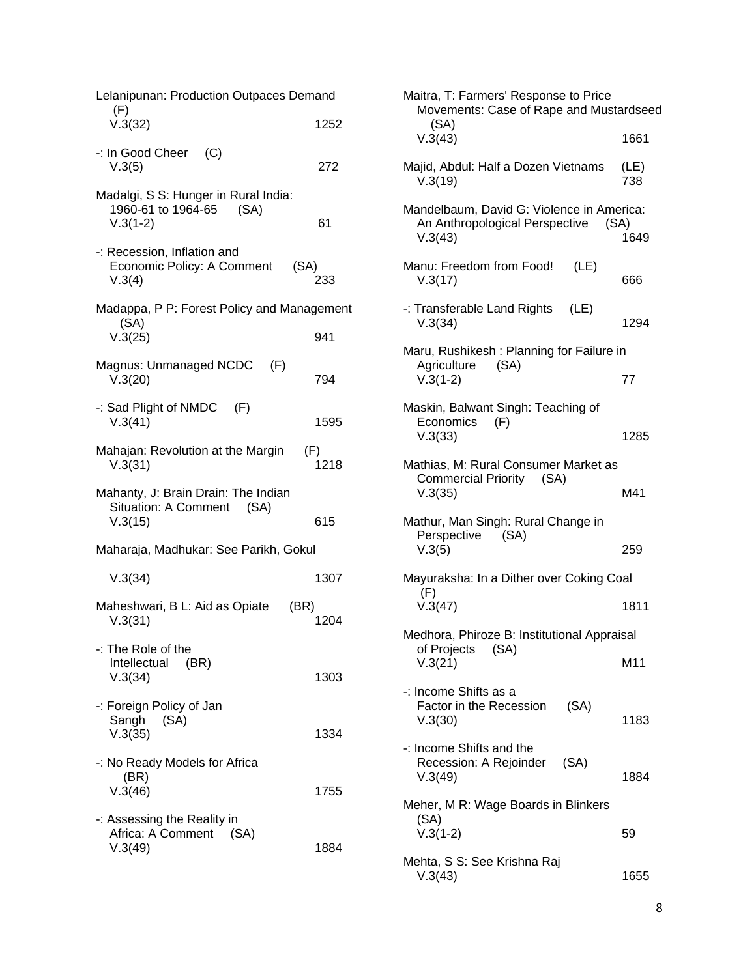| Lelanipunan: Production Outpaces Demand<br>(F)                                |             |
|-------------------------------------------------------------------------------|-------------|
| V.3(32)                                                                       | 1252        |
| -: In Good Cheer (C)<br>V.3(5)                                                | 272         |
| Madalgi, S S: Hunger in Rural India:<br>1960-61 to 1964-65 (SA)<br>$V.3(1-2)$ | 61          |
| -: Recession, Inflation and<br>Economic Policy: A Comment<br>(SA)<br>V.3(4)   | 233         |
| Madappa, P P: Forest Policy and Management<br>(SA)<br>V.3(25)                 | 941         |
| Magnus: Unmanaged NCDC (F)<br>V.3(20)                                         | 794         |
| -: Sad Plight of NMDC (F)<br>V.3(41)                                          | 1595        |
| Mahajan: Revolution at the Margin<br>V.3(31)                                  | (F)<br>1218 |
| Mahanty, J: Brain Drain: The Indian<br>Situation: A Comment (SA)<br>V.3(15)   | 615         |
| Maharaja, Madhukar: See Parikh, Gokul                                         |             |
| V.3(34)                                                                       | 1307        |
| Maheshwari, B L: Aid as Opiate<br>(BR)<br>V.3(31)                             | 1204        |
| -: The Role of the<br>Intellectual (BR)<br>V.3(34)                            | 1303        |
| -: Foreign Policy of Jan<br>Sangh<br>(SA)<br>V.3(35)                          | 1334        |
| -: No Ready Models for Africa<br>(BR)<br>V.3(46)                              | 1755        |
| -: Assessing the Reality in<br>Africa: A Comment<br>(SA)<br>V.3(49)           | 1884        |

| Maitra, T: Farmers' Response to Price<br>Movements: Case of Rape and Mustardseed<br>(SA)       |             |
|------------------------------------------------------------------------------------------------|-------------|
| V.3(43)                                                                                        | 1661        |
| Majid, Abdul: Half a Dozen Vietnams<br>V.3(19)                                                 | (LE)<br>738 |
| Mandelbaum, David G: Violence in America:<br>An Anthropological Perspective<br>(SA)<br>V.3(43) | 1649        |
| Manu: Freedom from Food!<br>(LE)<br>V.3(17)                                                    | 666         |
| -: Transferable Land Rights (LE)<br>V.3(34)                                                    | 1294        |
| Maru, Rushikesh: Planning for Failure in<br>Agriculture (SA)                                   |             |
| $V.3(1-2)$                                                                                     | 77          |
| Maskin, Balwant Singh: Teaching of<br>Economics<br>(F)<br>V.3(33)                              | 1285        |
| Mathias, M: Rural Consumer Market as<br>Commercial Priority (SA)<br>V.3(35)                    | M41         |
| Mathur, Man Singh: Rural Change in<br>Perspective (SA)<br>V.3(5)                               | 259         |
| Mayuraksha: In a Dither over Coking Coal                                                       |             |
| (F)<br>V.3(47)                                                                                 | 1811        |
| Medhora, Phiroze B: Institutional Appraisal                                                    |             |
| of Projects (SA)<br>V.3(21)                                                                    | M11         |
| -: Income Shifts as a<br>Factor in the Recession<br>(SA)<br>V.3(30)                            | 1183        |
| -: Income Shifts and the<br>Recession: A Rejoinder (SA)<br>V.3(49)                             | 1884        |
| Meher, M R: Wage Boards in Blinkers                                                            |             |
| (SA)<br>$V.3(1-2)$                                                                             | 59          |
| Mehta, S S: See Krishna Raj<br>V.3(43)                                                         | 1655        |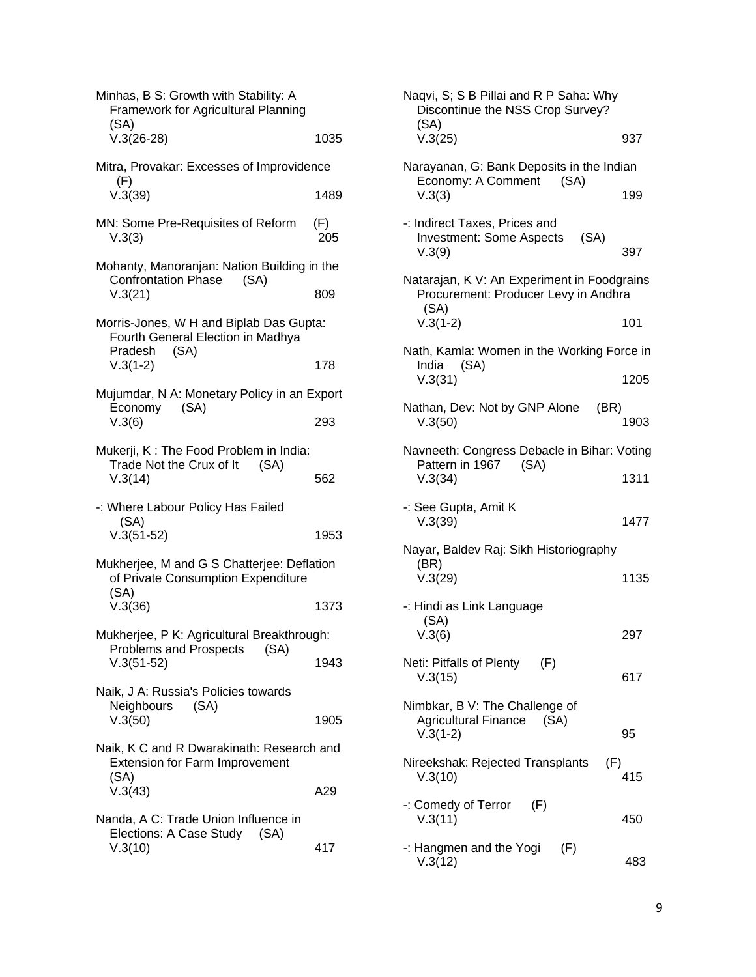| (SA)<br>$V.3(26-28)$                                                                            | 1035 |
|-------------------------------------------------------------------------------------------------|------|
|                                                                                                 |      |
| Mitra, Provakar: Excesses of Improvidence<br>(F)                                                |      |
| V.3(39)                                                                                         | 1489 |
| MN: Some Pre-Requisites of Reform<br>(F)<br>V.3(3)                                              | 205  |
| Mohanty, Manoranjan: Nation Building in the<br><b>Confrontation Phase</b><br>(SA)               |      |
| V.3(21)                                                                                         | 809  |
| Morris-Jones, W H and Biplab Das Gupta:<br>Fourth General Election in Madhya<br>Pradesh<br>(SA) |      |
| $V.3(1-2)$                                                                                      | 178  |
| Mujumdar, N A: Monetary Policy in an Export                                                     |      |
| Economy (SA)<br>V.3(6)                                                                          | 293  |
| Mukerji, K: The Food Problem in India:<br>Trade Not the Crux of It<br>(SA)<br>V.3(14)           | 562  |
| -: Where Labour Policy Has Failed                                                               |      |
| (SA)<br>$V.3(51-52)$                                                                            | 1953 |
| Mukherjee, M and G S Chatterjee: Deflation<br>of Private Consumption Expenditure<br>(SA)        |      |
| V.3(36)                                                                                         | 1373 |
| Mukherjee, P K: Agricultural Breakthrough:<br>Problems and Prospects (SA)                       |      |
| $V.3(51-52)$                                                                                    | 1943 |
| Naik, J A: Russia's Policies towards<br>Neighbours (SA)                                         |      |
| V.3(50)                                                                                         | 1905 |
| Naik, K C and R Dwarakinath: Research and<br><b>Extension for Farm Improvement</b><br>(SA)      |      |
| V.3(43)                                                                                         | A29  |
| Nanda, A C: Trade Union Influence in<br>Elections: A Case Study (SA)<br>V.3(10)                 | 417  |

| Naqvi, S; S B Pillai and R P Saha: Why<br>Discontinue the NSS Crop Survey?<br>(SA)          |      |
|---------------------------------------------------------------------------------------------|------|
| V.3(25)                                                                                     | 937  |
| Narayanan, G: Bank Deposits in the Indian<br>Economy: A Comment (SA)                        |      |
| V.3(3)                                                                                      | 199  |
| -: Indirect Taxes, Prices and<br><b>Investment: Some Aspects</b><br>(SA)<br>V.3(9)          | 397  |
| Natarajan, K V: An Experiment in Foodgrains<br>Procurement: Producer Levy in Andhra<br>(SA) |      |
| $V.3(1-2)$                                                                                  | 101  |
| Nath, Kamla: Women in the Working Force in<br>India (SA)                                    |      |
| V.3(31)                                                                                     | 1205 |
| Nathan, Dev: Not by GNP Alone<br>(BR)<br>V.3(50)                                            | 1903 |
| Navneeth: Congress Debacle in Bihar: Voting<br>Pattern in 1967 (SA)                         |      |
| V.3(34)                                                                                     | 1311 |
| -: See Gupta, Amit K<br>V.3(39)                                                             | 1477 |
| Nayar, Baldev Raj: Sikh Historiography<br>(BR)                                              |      |
| V.3(29)                                                                                     | 1135 |
| -: Hindi as Link Language<br>(SA)                                                           |      |
| V.3(6)                                                                                      | 297  |
| Neti: Pitfalls of Plenty<br>(F)<br>V.3(15)                                                  | 617  |
| Nimbkar, B V: The Challenge of<br>Agricultural Finance (SA)<br>$V.3(1-2)$                   | 95   |
| Nireekshak: Rejected Transplants<br>(F)<br>V.3(10)                                          | 415  |
| $-$ : Comedy of Terror $(F)$<br>V.3(11)                                                     | 450  |
| -: Hangmen and the Yogi<br>(F)<br>V.3(12)                                                   | 483  |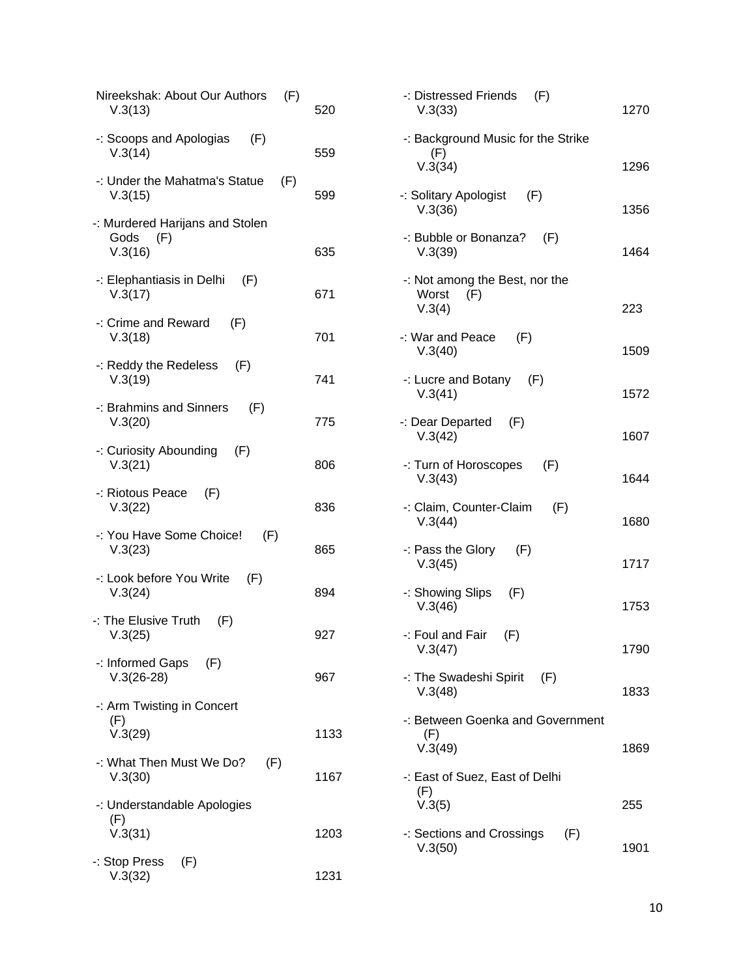| Nireekshak: About Our Authors<br>(F)<br>V.3(13)           | 520  | -: Distressed Friends<br>V.3(33)                 |
|-----------------------------------------------------------|------|--------------------------------------------------|
| -: Scoops and Apologias<br>(F)<br>V.3(14)                 | 559  | -: Background Music fo<br>(F)<br>V.3(34)         |
| -: Under the Mahatma's Statue<br>(F)<br>V.3(15)           | 599  | -: Solitary Apologist<br>V.3(36)                 |
| -: Murdered Harijans and Stolen<br>Gods<br>(F)<br>V.3(16) | 635  | -: Bubble or Bonanza?<br>V.3(39)                 |
| -: Elephantiasis in Delhi<br>(F)<br>V.3(17)               | 671  | -: Not among the Best,<br>Worst<br>(F)<br>V.3(4) |
| -: Crime and Reward<br>(F)<br>V.3(18)                     | 701  | (F)<br>-: War and Peace<br>V.3(40)               |
| -: Reddy the Redeless<br>(F)<br>V.3(19)                   | 741  | -: Lucre and Botany<br>V.3(41)                   |
| -: Brahmins and Sinners<br>(F)<br>V.3(20)                 | 775  | -: Dear Departed<br>(F)<br>V.3(42)               |
| -: Curiosity Abounding<br>(F)<br>V.3(21)                  | 806  | -: Turn of Horoscopes<br>V.3(43)                 |
| -: Riotous Peace<br>(F)<br>V.3(22)                        | 836  | -: Claim, Counter-Clain<br>V.3(44)               |
| -: You Have Some Choice!<br>(F)<br>V.3(23)                | 865  | -: Pass the Glory<br>(F)<br>V.3(45)              |
| -: Look before You Write<br>(F)<br>V.3(24)                | 894  | -: Showing Slips<br>(F)<br>V.3(46)               |
| -: The Elusive Truth<br>(F)<br>V.3(25)                    | 927  | -: Foul and Fair<br>(F)<br>V.3(47)               |
| -: Informed Gaps<br>(F)<br>$V.3(26-28)$                   | 967  | -: The Swadeshi Spirit<br>V.3(48)                |
| -: Arm Twisting in Concert<br>(F)<br>V.3(29)              | 1133 | -: Between Goenka and<br>(F)<br>V.3(49)          |
| -: What Then Must We Do?<br>(F)<br>V.3(30)                | 1167 | -: East of Suez, East of<br>(F)                  |
| -: Understandable Apologies<br>(F)<br>V.3(31)             | 1203 | V.3(5)<br>-: Sections and Crossir                |
| -: Stop Press<br>(F)<br>V.3(32)                           | 1231 | V.3(50)                                          |
|                                                           |      |                                                  |

| -: Background Music for the Strike                       |      |
|----------------------------------------------------------|------|
| (F)<br>V.3(34)                                           | 1296 |
| -: Solitary Apologist (F)<br>V.3(36)                     | 1356 |
| -: Bubble or Bonanza? (F)<br>V.3(39)                     | 1464 |
| -: Not among the Best, nor the<br>Worst<br>(F)<br>V.3(4) | 223  |
| $-$ : War and Peace $(F)$<br>V.3(40)                     | 1509 |
| -: Lucre and Botany $(F)$<br>V.3(41)                     | 1572 |
| -: Dear Departed (F)<br>V.3(42)                          | 1607 |
| -: Turn of Horoscopes (F)<br>V.3(43)                     | 1644 |
| -: Claim, Counter-Claim (F)<br>V.3(44)                   | 1680 |
| $-$ : Pass the Glory $(F)$<br>V.3(45)                    | 1717 |
| -: Showing Slips (F)<br>V.3(46)                          | 1753 |
| $-$ : Foul and Fair $(F)$<br>V.3(47)                     | 1790 |
| -: The Swadeshi Spirit (F)<br>V.3(48)                    | 1833 |
| -: Between Goenka and Government<br>(F)<br>V.3(49)       | 1869 |
| -: East of Suez, East of Delhi<br>(F)                    |      |

 $(F)$ 

1270

255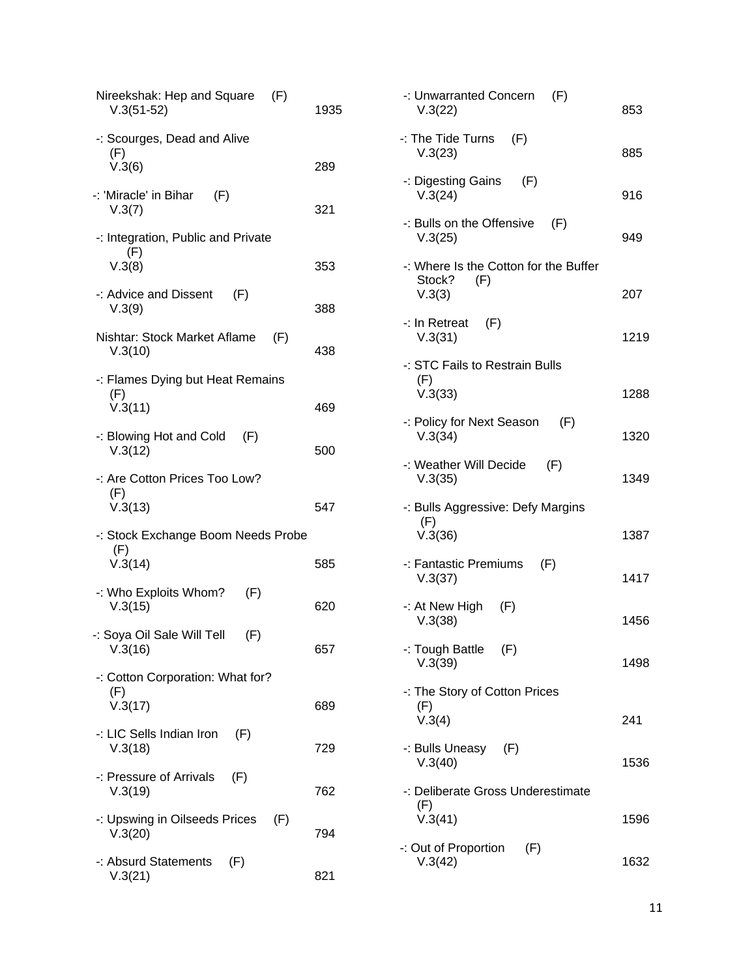| Nireekshak: Hep and Square<br>(F)<br>$V.3(51-52)$  | 1935 | -: Unwarr<br>V.3(22)           |
|----------------------------------------------------|------|--------------------------------|
| -: Scourges, Dead and Alive<br>(F)<br>V.3(6)       | 289  | -: The Tid<br>V.3(23)          |
| -: 'Miracle' in Bihar<br>(F)                       |      | -: Digesti<br>V.3(24)          |
| V.3(7)<br>-: Integration, Public and Private       | 321  | -: Bulls or<br>V.3(25)         |
| (F)<br>V.3(8)                                      | 353  | -: Where<br>Stock?             |
| -: Advice and Dissent<br>(F)<br>V.3(9)             | 388  | V.3(3)<br>-: In Retre          |
| Nishtar: Stock Market Aflame<br>(F)<br>V.3(10)     | 438  | V.3(31)                        |
| -: Flames Dying but Heat Remains<br>(F)            |      | $-$ : STC Fa<br>(F)<br>V.3(33) |
| V.3(11)<br>-: Blowing Hot and Cold<br>(F)          | 469  | -: Policy f<br>V.3(34)         |
| V.3(12)                                            | 500  | -: Weathe                      |
| -: Are Cotton Prices Too Low?<br>(F)<br>V.3(13)    | 547  | V.3(35)<br>-: Bulls A          |
| -: Stock Exchange Boom Needs Probe<br>(F)          |      | (F)<br>V.3(36)                 |
| V.3(14)                                            | 585  | -: Fantast<br>V.3(37)          |
| -: Who Exploits Whom?<br>(F)<br>V.3(15)            | 620  | -: At New<br>V.3(38)           |
| -: Soya Oil Sale Will Tell<br>(F)<br>V.3(16)       | 657  | -: Tough<br>V.3(39)            |
| -: Cotton Corporation: What for?<br>(F)<br>V.3(17) | 689  | -: The Sto<br>(F)<br>V.3(4)    |
| -: LIC Sells Indian Iron<br>(F)<br>V.3(18)         | 729  | -: Bulls U                     |
| -: Pressure of Arrivals<br>(F)<br>V.3(19)          | 762  | V.3(40)<br>-: Deliber          |
| -: Upswing in Oilseeds Prices<br>(F)<br>V.3(20)    | 794  | (F)<br>V.3(41)                 |
| -: Absurd Statements<br>(F)<br>V.3(21)             | 821  | -: Out of F<br>V.3(42)         |
|                                                    |      |                                |

| -: Unwarranted Concern<br>(F)<br>V.3(22)                         | 853  |
|------------------------------------------------------------------|------|
| -: The Tide Turns<br>(F)<br>V.3(23)                              | 885  |
| -: Digesting Gains (F)<br>V.3(24)                                | 916  |
| -: Bulls on the Offensive<br>(F)<br>V.3(25)                      | 949  |
| -: Where Is the Cotton for the Buffer<br>Stock?<br>(F)<br>V.3(3) | 207  |
| -: In Retreat<br>(F)<br>V.3(31)                                  | 1219 |
| -: STC Fails to Restrain Bulls                                   |      |
| (F)<br>V.3(33)                                                   | 1288 |
| -: Policy for Next Season<br>(F)<br>V.3(34)                      | 1320 |
| -: Weather Will Decide<br>(F)<br>V.3(35)                         | 1349 |
| -: Bulls Aggressive: Defy Margins<br>(F)<br>V.3(36)              | 1387 |
| -: Fantastic Premiums<br>(F)<br>V.3(37)                          | 1417 |
| -: At New High $(F)$<br>V.3(38)                                  | 1456 |
| -: Tough Battle (F)<br>V.3(39)                                   | 1498 |
| -: The Story of Cotton Prices<br>(F)                             |      |
| V.3(4)                                                           | 241  |
| -: Bulls Uneasy (F)<br>V.3(40)                                   | 1536 |
| -: Deliberate Gross Underestimate<br>(F)                         |      |
| V.3(41)                                                          | 1596 |
| -: Out of Proportion<br>(F)<br>V.3(42)                           | 1632 |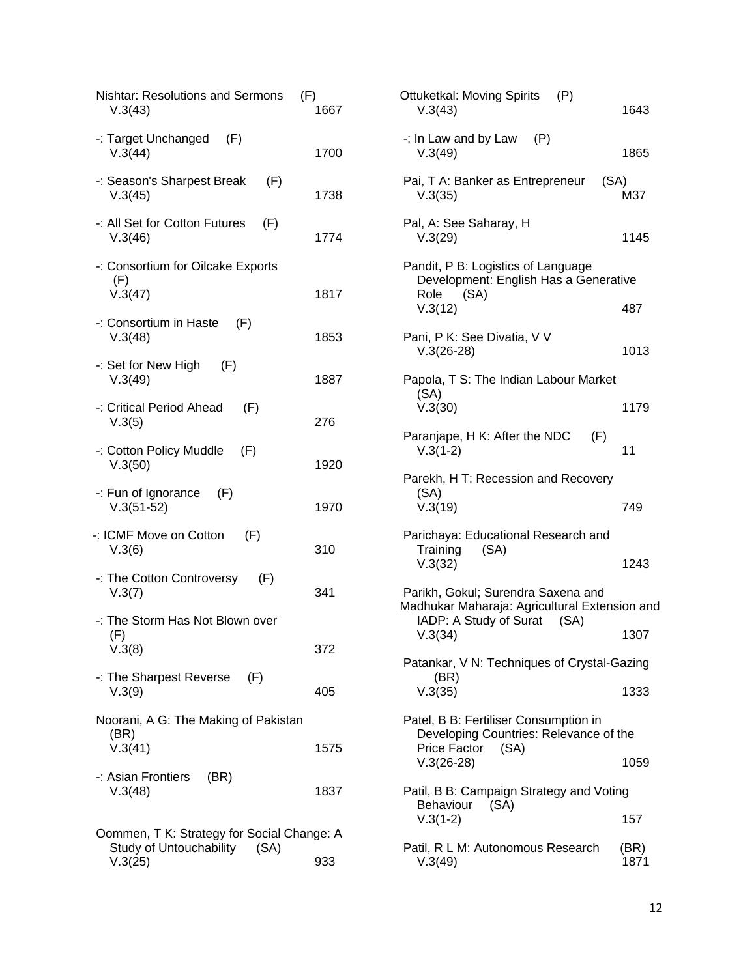| <b>Nishtar: Resolutions and Sermons</b><br>(F)<br>V.3(43)                             | 1667 |
|---------------------------------------------------------------------------------------|------|
| -: Target Unchanged $(F)$<br>V.3(44)                                                  | 1700 |
| -: Season's Sharpest Break<br>(F)<br>V.3(45)                                          | 1738 |
| -: All Set for Cotton Futures<br>(F)<br>V.3(46)                                       | 1774 |
| -: Consortium for Oilcake Exports<br>(F)<br>V.3(47)                                   | 1817 |
| -: Consortium in Haste $(F)$<br>V.3(48)                                               | 1853 |
| $-$ : Set for New High $(F)$<br>V.3(49)                                               | 1887 |
| -: Critical Period Ahead<br>(F)<br>V.3(5)                                             | 276  |
| -: Cotton Policy Muddle<br>(F)<br>V.3(50)                                             | 1920 |
| $-$ : Fun of Ignorance $(F)$<br>$V.3(51-52)$                                          | 1970 |
| -: ICMF Move on Cotton<br>(F)<br>V.3(6)                                               | 310  |
| -: The Cotton Controversy<br>(F)<br>V.3(7)                                            | 341  |
| -: The Storm Has Not Blown over<br>(F)<br>V.3(8)                                      | 372  |
| $\cdot$ : The Sharpest Reverse $(F)$<br>V.3(9)                                        | 405  |
| Noorani, A G: The Making of Pakistan<br>(BR)<br>V.3(41)                               | 1575 |
| -: Asian Frontiers<br>(BR)<br>V.3(48)                                                 | 1837 |
| Oommen, T K: Strategy for Social Change: A<br>Study of Untouchability (SA)<br>V.3(25) | 933  |

| Ottuketkal: Moving Spirits (P)<br>V.3(43)                                                              | 1643         |
|--------------------------------------------------------------------------------------------------------|--------------|
| -: In Law and by Law<br>(P)<br>V.3(49)                                                                 | 1865         |
| Pai, T A: Banker as Entrepreneur<br>(SA)<br>V.3(35)                                                    | M37          |
| Pal, A: See Saharay, H<br>V.3(29)                                                                      | 1145         |
| Pandit, P B: Logistics of Language<br>Development: English Has a Generative<br>(SA)<br>Role<br>V.3(12) | 487          |
|                                                                                                        |              |
| Pani, P K: See Divatia, V V<br>$V.3(26-28)$                                                            | 1013         |
| Papola, T S: The Indian Labour Market                                                                  |              |
| (SA)<br>V.3(30)                                                                                        | 1179         |
| Paranjape, H K: After the NDC<br>(F)<br>$V.3(1-2)$                                                     | 11           |
| Parekh, H T: Recession and Recovery                                                                    |              |
| (SA)<br>V.3(19)                                                                                        | 749          |
| Parichaya: Educational Research and                                                                    |              |
| Training<br>(SA)<br>V.3(32)                                                                            | 1243         |
| Parikh, Gokul; Surendra Saxena and<br>Madhukar Maharaja: Agricultural Extension and                    |              |
| IADP: A Study of Surat (SA)<br>V.3(34)                                                                 | 1307         |
| Patankar, V N: Techniques of Crystal-Gazing                                                            |              |
| (BR)<br>V.3(35)                                                                                        | 1333         |
| Patel, B B: Fertiliser Consumption in<br>Developing Countries: Relevance of the                        |              |
| Price Factor (SA)<br>$V.3(26-28)$                                                                      | 1059         |
| Patil, B B: Campaign Strategy and Voting                                                               |              |
| Behaviour (SA)<br>$V.3(1-2)$                                                                           | 157          |
| Patil, R L M: Autonomous Research<br>V.3(49)                                                           | (BR)<br>1871 |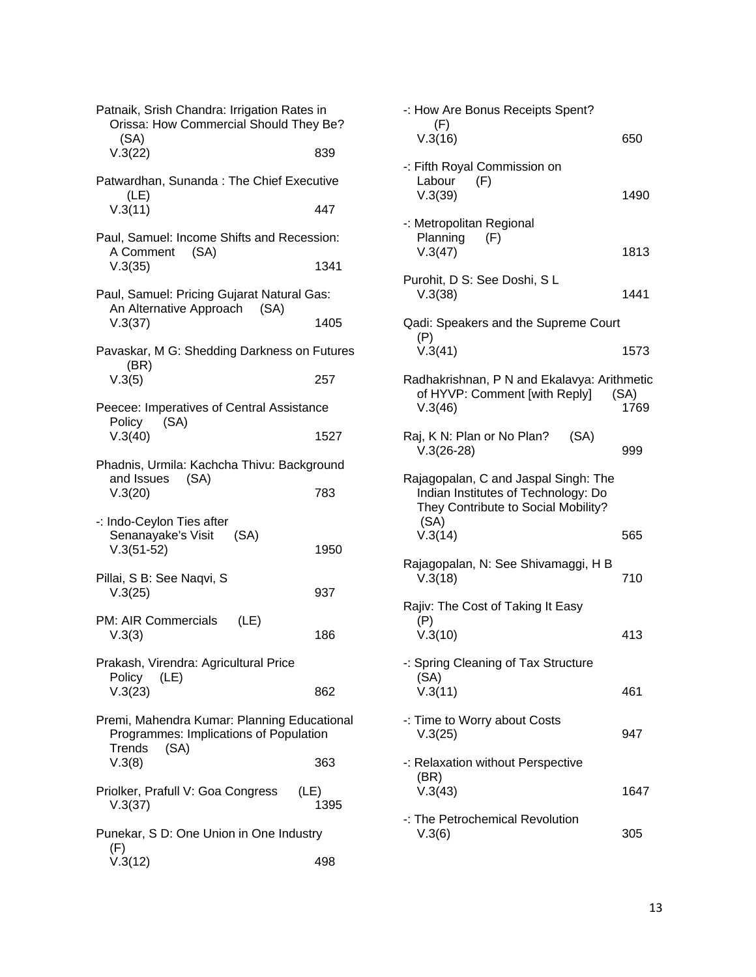| Patnaik, Srish Chandra: Irrigation Rates in<br>Orissa: How Commercial Should They Be?<br>(SA)           |      |  |
|---------------------------------------------------------------------------------------------------------|------|--|
| V.3(22)                                                                                                 | 839  |  |
| Patwardhan, Sunanda: The Chief Executive                                                                |      |  |
| (LE)<br>V.3(11)                                                                                         | 447  |  |
| Paul, Samuel: Income Shifts and Recession:<br>A Comment<br>(SA)                                         |      |  |
| V.3(35)                                                                                                 | 1341 |  |
| Paul, Samuel: Pricing Gujarat Natural Gas:<br>An Alternative Approach (SA)                              |      |  |
| V.3(37)                                                                                                 | 1405 |  |
| Pavaskar, M G: Shedding Darkness on Futures<br>(BR)                                                     |      |  |
| V.3(5)                                                                                                  | 257  |  |
| Peecee: Imperatives of Central Assistance<br>Policy<br>(SA)                                             |      |  |
| V.3(40)                                                                                                 | 1527 |  |
| Phadnis, Urmila: Kachcha Thivu: Background<br>and Issues (SA)                                           |      |  |
| V.3(20)                                                                                                 | 783  |  |
| -: Indo-Ceylon Ties after<br>Senanayake's Visit<br>(SA)<br>$V.3(51-52)$                                 | 1950 |  |
| Pillai, S B: See Naqvi, S                                                                               |      |  |
| V.3(25)                                                                                                 | 937  |  |
| PM: AIR Commercials<br>(LE)<br>V.3(3)                                                                   | 186  |  |
| Prakash, Virendra: Agricultural Price<br>Policy<br>(LE)                                                 |      |  |
| V.3(23)                                                                                                 | 862  |  |
| Premi, Mahendra Kumar: Planning Educational<br>Programmes: Implications of Population<br>(SA)<br>Trends |      |  |
| V.3(8)                                                                                                  | 363  |  |
| Priolker, Prafull V: Goa Congress<br>(LE)<br>V.3(37)                                                    | 1395 |  |
| Punekar, S D: One Union in One Industry<br>(F)                                                          |      |  |
| V.3(12)                                                                                                 | 498  |  |

| -: How Are Bonus Receipts Spent?                                                                                                      |              |
|---------------------------------------------------------------------------------------------------------------------------------------|--------------|
| (F)<br>V.3(16)                                                                                                                        | 650          |
| -: Fifth Royal Commission on<br>Labour<br>(F)<br>V.3(39)                                                                              | 1490         |
| -: Metropolitan Regional<br>Planning<br>(F)<br>V.3(47)                                                                                | 1813         |
| Purohit, D S: See Doshi, S L<br>V.3(38)                                                                                               | 1441         |
| Qadi: Speakers and the Supreme Court<br>(P)<br>V.3(41)                                                                                | 1573         |
| Radhakrishnan, P N and Ekalavya: Arithmetic<br>of HYVP: Comment [with Reply]<br>V.3(46)                                               | (SA)<br>1769 |
| Raj, K N: Plan or No Plan?<br>(SA)<br>$V.3(26-28)$                                                                                    | 999          |
| Rajagopalan, C and Jaspal Singh: The<br>Indian Institutes of Technology: Do<br>They Contribute to Social Mobility?<br>(SA)<br>V.3(14) | 565          |
| Rajagopalan, N: See Shivamaggi, H B<br>V.3(18)                                                                                        | 710          |
| Rajiv: The Cost of Taking It Easy<br>(P)<br>V.3(10)                                                                                   | 413          |
| -: Spring Cleaning of Tax Structure<br>(SA)<br>V.3(11)                                                                                | 461          |
| -: Time to Worry about Costs<br>V.3(25)                                                                                               | 947          |
| -: Relaxation without Perspective<br>(BR)<br>V.3(43)                                                                                  | 1647         |
| -: The Petrochemical Revolution<br>V.3(6)                                                                                             | 305          |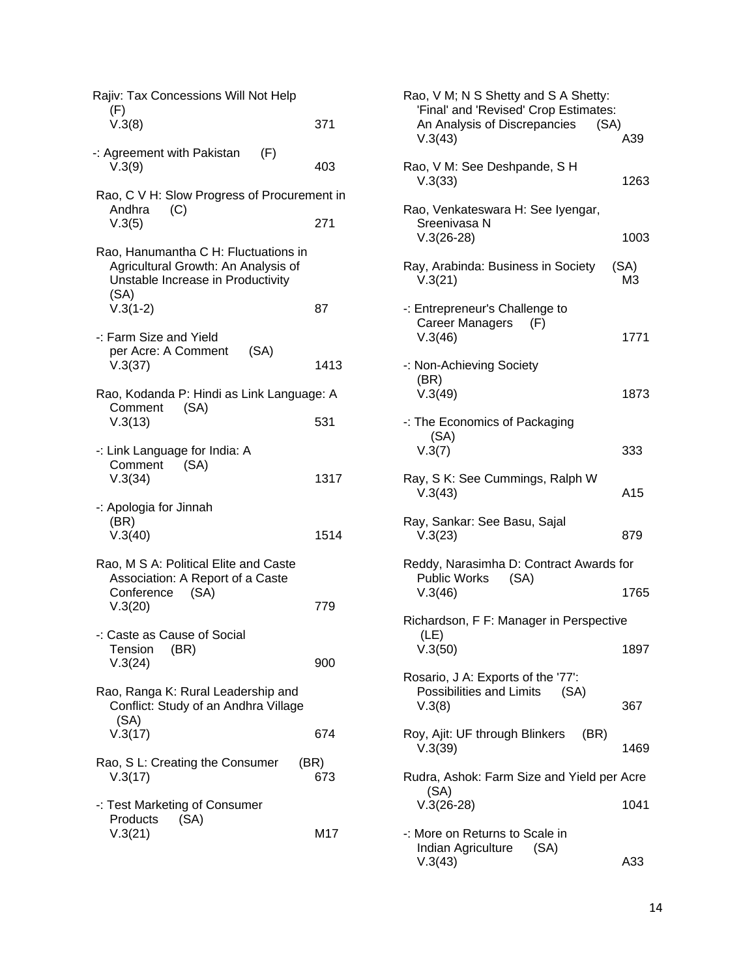| Rajiv: Tax Concessions Will Not Help<br>(F)                                                                                            |             |  |  |
|----------------------------------------------------------------------------------------------------------------------------------------|-------------|--|--|
| V.3(8)                                                                                                                                 | 371         |  |  |
| -: Agreement with Pakistan<br>(F)<br>V.3(9)                                                                                            | 403         |  |  |
| Rao, C V H: Slow Progress of Procurement in<br>Andhra<br>(C)                                                                           |             |  |  |
| V.3(5)                                                                                                                                 | 271         |  |  |
| Rao, Hanumantha C H: Fluctuations in<br>Agricultural Growth: An Analysis of<br>Unstable Increase in Productivity<br>(SA)<br>$V.3(1-2)$ | 87          |  |  |
| -: Farm Size and Yield                                                                                                                 |             |  |  |
| per Acre: A Comment<br>(SA)<br>V.3(37)                                                                                                 | 1413        |  |  |
| Rao, Kodanda P: Hindi as Link Language: A<br>(SA)<br>Comment                                                                           |             |  |  |
| V.3(13)                                                                                                                                | 531         |  |  |
| -: Link Language for India: A<br>Comment<br>(SA)<br>V.3(34)                                                                            | 1317        |  |  |
| -: Apologia for Jinnah<br>(BR)<br>V.3(40)                                                                                              | 1514        |  |  |
| Rao, M S A: Political Elite and Caste<br>Association: A Report of a Caste<br>Conference (SA)                                           |             |  |  |
| V.3(20)                                                                                                                                | 779         |  |  |
| -: Caste as Cause of Social<br>Tension (BR)<br>V.3(24)                                                                                 | 900         |  |  |
| Rao, Ranga K: Rural Leadership and<br>Conflict: Study of an Andhra Village<br>(SA)                                                     |             |  |  |
| V.3(17)                                                                                                                                | 674         |  |  |
| Rao, S L: Creating the Consumer<br>V.3(17)                                                                                             | (BR)<br>673 |  |  |
| -: Test Marketing of Consumer<br>(SA)<br>Products<br>V.3(21)                                                                           | M17         |  |  |
|                                                                                                                                        |             |  |  |

| Rao, V M; N S Shetty and S A Shetty:<br>'Final' and 'Revised' Crop Estimates:<br>An Analysis of Discrepancies<br>(SA)<br>V.3(43) | A39        |
|----------------------------------------------------------------------------------------------------------------------------------|------------|
| Rao, V M: See Deshpande, S H<br>V.3(33)                                                                                          | 1263       |
| Rao, Venkateswara H: See Iyengar,<br>Sreenivasa N<br>$V.3(26-28)$                                                                | 1003       |
| Ray, Arabinda: Business in Society<br>V.3(21)                                                                                    | (SA)<br>ΜЗ |
| -: Entrepreneur's Challenge to<br>Career Managers<br>(F)<br>V.3(46)                                                              | 1771       |
| -: Non-Achieving Society<br>(BR)<br>V.3(49)                                                                                      | 1873       |
| -: The Economics of Packaging<br>(SA)<br>V.3(7)                                                                                  | 333        |
| Ray, S K: See Cummings, Ralph W<br>V.3(43)                                                                                       | A15        |
| Ray, Sankar: See Basu, Sajal<br>V.3(23)                                                                                          | 879        |
| Reddy, Narasimha D: Contract Awards for<br>Public Works (SA)<br>V.3(46)                                                          | 1765       |
| Richardson, F F: Manager in Perspective                                                                                          |            |
| (LE)<br>V.3(50)                                                                                                                  | 1897       |
| Rosario, J A: Exports of the '77':<br>Possibilities and Limits (SA)<br>V.3(8)                                                    | 367        |
| Roy, Ajit: UF through Blinkers (BR)<br>V.3(39)                                                                                   | 1469       |
| Rudra, Ashok: Farm Size and Yield per Acre                                                                                       |            |
| (SA)<br>$V.3(26-28)$                                                                                                             | 1041       |
| -: More on Returns to Scale in<br>Indian Agriculture (SA)<br>V.3(43)                                                             | A33        |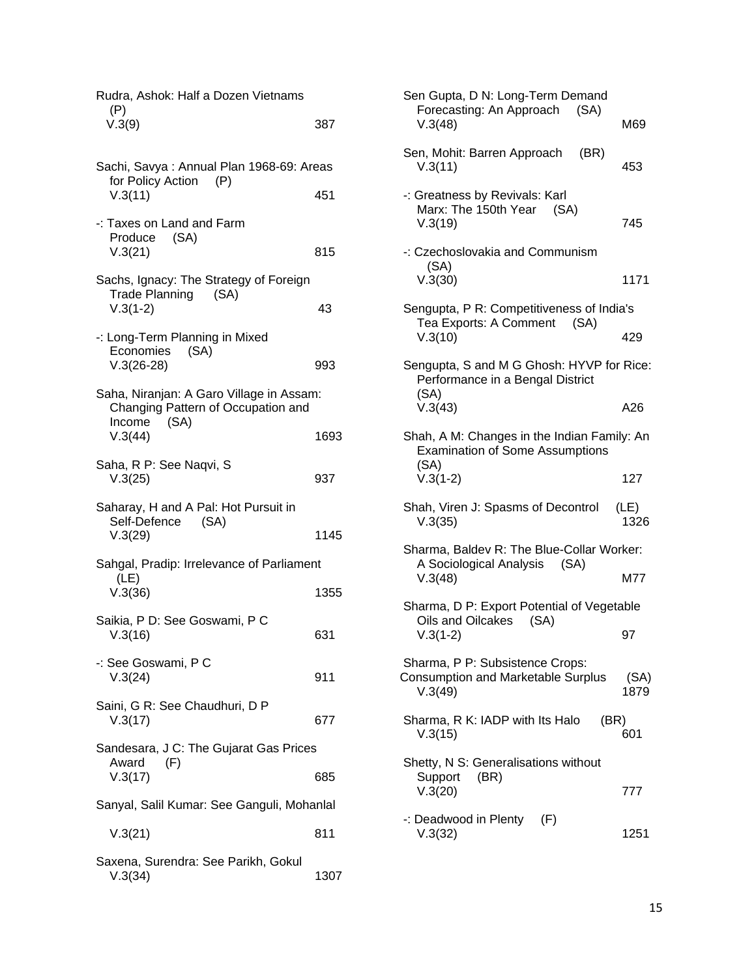| Rudra, Ashok: Half a Dozen Vietnams                                                                         |      |  |
|-------------------------------------------------------------------------------------------------------------|------|--|
| (P)<br>V.3(9)                                                                                               | 387  |  |
| Sachi, Savya: Annual Plan 1968-69: Areas                                                                    |      |  |
| for Policy Action (P)<br>V.3(11)                                                                            | 451  |  |
| -: Taxes on Land and Farm<br>Produce (SA)<br>V.3(21)                                                        | 815  |  |
| Sachs, Ignacy: The Strategy of Foreign<br><b>Trade Planning</b><br>(SA)<br>$V.3(1-2)$                       | 43   |  |
| -: Long-Term Planning in Mixed<br>Economies<br>(SA)<br>$V.3(26-28)$                                         | 993  |  |
| Saha, Niranjan: A Garo Village in Assam:<br>Changing Pattern of Occupation and<br>(SA)<br>Income<br>V.3(44) | 1693 |  |
| Saha, R P: See Naqvi, S<br>V.3(25)                                                                          | 937  |  |
| Saharay, H and A Pal: Hot Pursuit in<br>Self-Defence (SA)<br>V.3(29)                                        | 1145 |  |
| Sahgal, Pradip: Irrelevance of Parliament                                                                   |      |  |
| (LE)<br>V.3(36)                                                                                             | 1355 |  |
| Saikia, P D: See Goswami, P C<br>V.3(16)                                                                    | 631  |  |
| -: See Goswami, P C<br>V.3(24)                                                                              | 911  |  |
| Saini, G R: See Chaudhuri, D P<br>V.3(17)                                                                   | 677  |  |
| Sandesara, J C: The Gujarat Gas Prices                                                                      |      |  |
| Award<br>(F)<br>V.3(17)                                                                                     | 685  |  |
| Sanyal, Salil Kumar: See Ganguli, Mohanlal                                                                  |      |  |
| V.3(21)                                                                                                     | 811  |  |
| Saxena, Surendra: See Parikh, Gokul<br>V.3(34)                                                              | 1307 |  |

| Sen Gupta, D N: Long-Term Demand<br>Forecasting: An Approach<br>(SA)<br>V.3(48)               | M69          |
|-----------------------------------------------------------------------------------------------|--------------|
| Sen, Mohit: Barren Approach<br>(BR)<br>V.3(11)                                                | 453          |
| -: Greatness by Revivals: Karl<br>Marx: The 150th Year<br>(SA)<br>V.3(19)                     | 745          |
| -: Czechoslovakia and Communism<br>(SA)<br>V.3(30)                                            | 1171         |
| Sengupta, P R: Competitiveness of India's                                                     |              |
| Tea Exports: A Comment<br>(SA)<br>V.3(10)                                                     | 429          |
| Sengupta, S and M G Ghosh: HYVP for Rice:<br>Performance in a Bengal District<br>(SA)         |              |
| V.3(43)                                                                                       | A26          |
| Shah, A M: Changes in the Indian Family: An<br><b>Examination of Some Assumptions</b><br>(SA) |              |
| $V.3(1-2)$                                                                                    | 127          |
| Shah, Viren J: Spasms of Decontrol<br>V.3(35)                                                 | (LE)<br>1326 |
| Sharma, Baldev R: The Blue-Collar Worker:                                                     |              |
| A Sociological Analysis (SA)<br>V.3(48)                                                       | M77          |
| Sharma, D P: Export Potential of Vegetable                                                    |              |
| Oils and Oilcakes<br>(SA)<br>$V.3(1-2)$                                                       | 97           |
| Sharma, P P: Subsistence Crops:<br><b>Consumption and Marketable Surplus</b><br>V.3(49)       | (SA)<br>1879 |
| Sharma, R K: IADP with Its Halo<br>(BR)<br>V.3(15)                                            | 601          |
| Shetty, N S: Generalisations without<br>Support<br>(BR)<br>V.3(20)                            | 777          |
| -: Deadwood in Plenty $(F)$<br>V.3(32)                                                        | 1251         |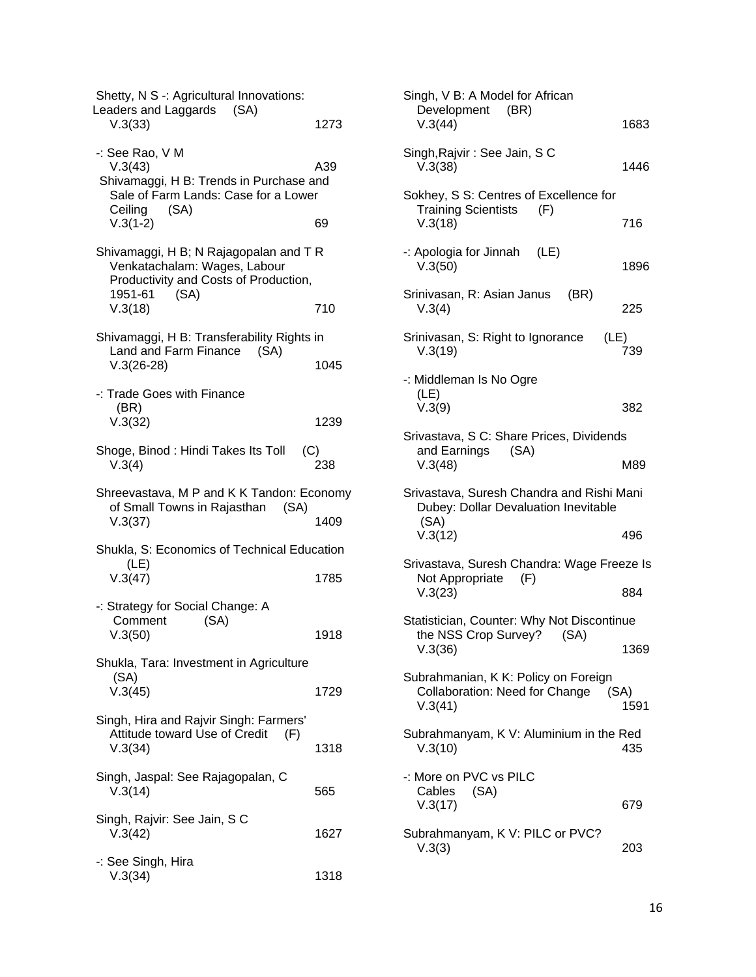| Shetty, N S -: Agricultural Innovations:<br>Leaders and Laggards (SA)<br>V.3(33)                                                               | 1273       |
|------------------------------------------------------------------------------------------------------------------------------------------------|------------|
| -: See Rao, V M<br>V.3(43)<br>Shivamaggi, H B: Trends in Purchase and<br>Sale of Farm Lands: Case for a Lower<br>(SA)<br>Ceiling<br>$V.3(1-2)$ | A39<br>69  |
| Shivamaggi, H B; N Rajagopalan and T R<br>Venkatachalam: Wages, Labour<br>Productivity and Costs of Production,<br>(SA)<br>1951-61<br>V.3(18)  | 710        |
| Shivamaggi, H B: Transferability Rights in<br>Land and Farm Finance<br>(SA)<br>$V.3(26-28)$                                                    | 1045       |
| -: Trade Goes with Finance<br>(BR)<br>V.3(32)                                                                                                  | 1239       |
| Shoge, Binod : Hindi Takes Its Toll<br>V.3(4)                                                                                                  | (C)<br>238 |
| Shreevastava, M P and K K Tandon: Economy<br>of Small Towns in Rajasthan<br>(SA)<br>V.3(37)                                                    | 1409       |
| Shukla, S: Economics of Technical Education<br>(LE)<br>V.3(47)                                                                                 | 1785       |
| -: Strategy for Social Change: A<br>Comment<br>(SA)<br>V.3(50)                                                                                 | 1918       |
| Shukla, Tara: Investment in Agriculture<br>(SA)<br>V.3(45)                                                                                     | 1729       |
| Singh, Hira and Rajvir Singh: Farmers'<br>Attitude toward Use of Credit<br>(F)<br>V.3(34)                                                      | 1318       |
| Singh, Jaspal: See Rajagopalan, C<br>V.3(14)                                                                                                   | 565        |
| Singh, Rajvir: See Jain, S C<br>V.3(42)                                                                                                        | 1627       |
| -: See Singh, Hira<br>V.3(34)                                                                                                                  | 1318       |

| Singh, V B: A Model for African<br>Development (BR)<br>V.3(44)                            | 1683         |
|-------------------------------------------------------------------------------------------|--------------|
|                                                                                           |              |
| Singh, Rajvir: See Jain, SC<br>V.3(38)                                                    | 1446         |
| Sokhey, S S: Centres of Excellence for<br><b>Training Scientists</b><br>(F)<br>V.3(18)    | 716          |
| -: Apologia for Jinnah $(LE)$<br>V.3(50)                                                  | 1896         |
| Srinivasan, R: Asian Janus<br>(BR)<br>V.3(4)                                              | 225          |
| Srinivasan, S: Right to Ignorance<br>(LE)<br>V.3(19)                                      | 739          |
| -: Middleman Is No Ogre                                                                   |              |
| (LE)<br>V.3(9)                                                                            | 382          |
| Srivastava, S C: Share Prices, Dividends                                                  |              |
| and Earnings<br>(SA)<br>V.3(48)                                                           | M89          |
| Srivastava, Suresh Chandra and Rishi Mani<br>Dubey: Dollar Devaluation Inevitable<br>(SA) |              |
| V.3(12)                                                                                   | 496          |
| Srivastava, Suresh Chandra: Wage Freeze Is<br>Not Appropriate<br>(F)                      |              |
| V.3(23)                                                                                   | 884          |
| Statistician, Counter: Why Not Discontinue                                                |              |
| the NSS Crop Survey?<br>(SA)<br>V.3(36)                                                   | 1369         |
| Subrahmanian, K K: Policy on Foreign<br>Collaboration: Need for Change<br>V.3(41)         | (SA)<br>1591 |
| Subrahmanyam, K V: Aluminium in the Red<br>V.3(10)                                        | 435          |
| -: More on PVC vs PILC<br>Cables<br>(SA)<br>V.3(17)                                       | 679          |
| Subrahmanyam, K V: PILC or PVC?<br>V.3(3)                                                 | 203          |
|                                                                                           |              |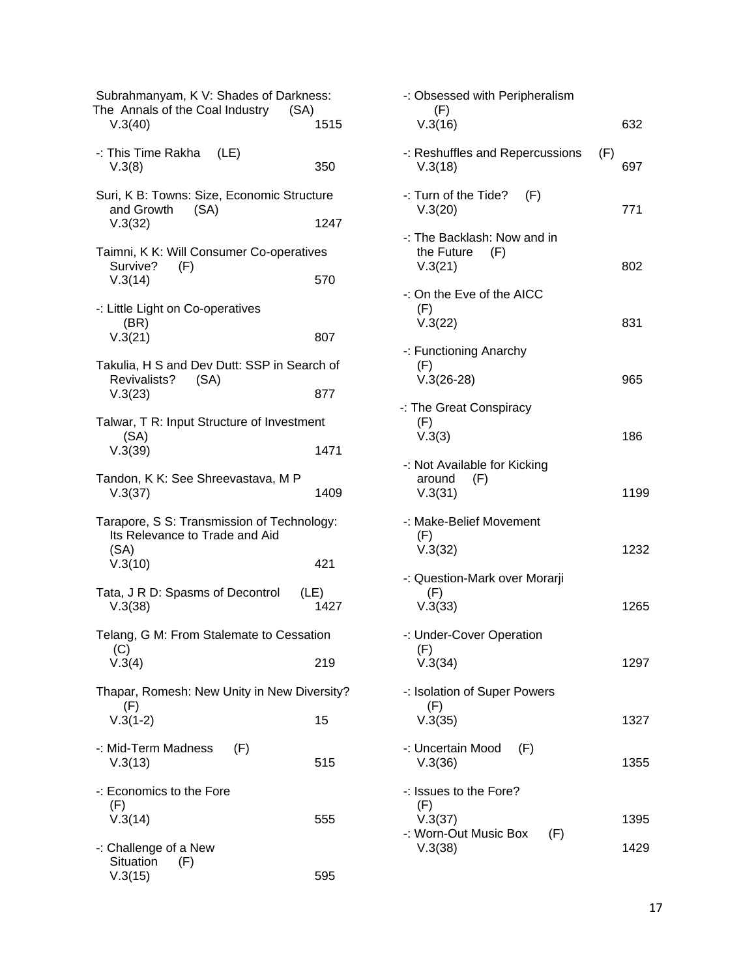| Subrahmanyam, K V: Shades of Darkness:<br>The Annals of the Coal Industry<br>(SA)    |              |  |
|--------------------------------------------------------------------------------------|--------------|--|
| V.3(40)                                                                              | 1515         |  |
| -: This Time Rakha (LE)<br>V.3(8)                                                    | 350          |  |
| Suri, K B: Towns: Size, Economic Structure<br>and Growth<br>(SA)                     |              |  |
| V.3(32)                                                                              | 1247         |  |
| Taimni, K K: Will Consumer Co-operatives                                             |              |  |
| Survive?<br>(F)<br>V.3(14)                                                           | 570          |  |
| -: Little Light on Co-operatives<br>(BR)                                             |              |  |
| V.3(21)                                                                              | 807          |  |
| Takulia, H S and Dev Dutt: SSP in Search of<br>Revivalists? (SA)                     |              |  |
| V.3(23)                                                                              | 877          |  |
| Talwar, T R: Input Structure of Investment                                           |              |  |
| (SA)<br>V.3(39)                                                                      | 1471         |  |
| Tandon, K K: See Shreevastava, M P<br>V.3(37)                                        | 1409         |  |
| Tarapore, S S: Transmission of Technology:<br>Its Relevance to Trade and Aid<br>(SA) |              |  |
| V.3(10)                                                                              | 421          |  |
| Tata, J R D: Spasms of Decontrol<br>V.3(38)                                          | (LE)<br>1427 |  |
| Telang, G M: From Stalemate to Cessation<br>(C)                                      |              |  |
| V.3(4)                                                                               | 219          |  |
| Thapar, Romesh: New Unity in New Diversity?<br>(F)                                   |              |  |
| $V.3(1-2)$                                                                           | 15           |  |
| -: Mid-Term Madness<br>(F)<br>V.3(13)                                                | 515          |  |
| -: Economics to the Fore                                                             |              |  |
| (F)<br>V.3(14)                                                                       | 555          |  |
| -: Challenge of a New                                                                |              |  |
| Situation<br>(F)<br>V.3(15)                                                          | 595          |  |

| -: Obsessed with Peripheralism<br>(F)                       |      |
|-------------------------------------------------------------|------|
| V.3(16)                                                     | 632  |
| -: Reshuffles and Repercussions<br>(F)<br>V.3(18)           | 697  |
| $-$ : Turn of the Tide? $(F)$<br>V.3(20)                    | 771  |
| -: The Backlash: Now and in<br>the Future<br>(F)<br>V.3(21) | 802  |
| -: On the Eve of the AICC<br>(F)<br>V.3(22)                 | 831  |
| -: Functioning Anarchy                                      |      |
| (F)<br>$V.3(26-28)$                                         | 965  |
| -: The Great Conspiracy<br>(F)<br>V.3(3)                    | 186  |
| -: Not Available for Kicking<br>around<br>(F)<br>V.3(31)    | 1199 |
| -: Make-Belief Movement<br>(F)<br>V.3(32)                   | 1232 |
| -: Question-Mark over Morarji                               |      |
| (F)<br>V.3(33)                                              | 1265 |
| -: Under-Cover Operation                                    |      |
| (F)<br>V.3(34)                                              | 1297 |
| -: Isolation of Super Powers                                |      |
| (F)<br>V.3(35)                                              | 1327 |
| -: Uncertain Mood<br>(F)<br>V.3(36)                         | 1355 |
| -: Issues to the Fore?                                      |      |
| (F)<br>V.3(37)                                              | 1395 |
| -: Worn-Out Music Box<br>(F)<br>V.3(38)                     | 1429 |
|                                                             |      |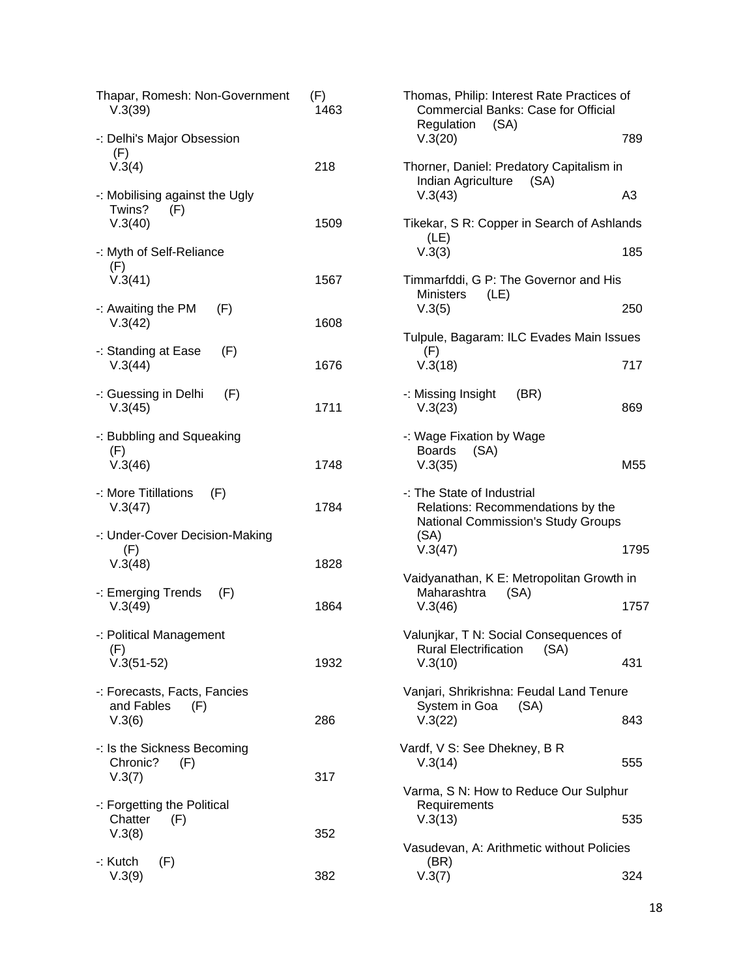| Thapar, Romesh: Non-Government<br>V.3(39)                | (F)<br>1463 | Thomas, Philip: Interest Rate Practices of<br><b>Commercial Banks: Case for Official</b><br>Regulation<br>(SA) |                |
|----------------------------------------------------------|-------------|----------------------------------------------------------------------------------------------------------------|----------------|
| -: Delhi's Major Obsession<br>(F)                        |             | V.3(20)                                                                                                        | 789            |
| V.3(4)                                                   | 218         | Thorner, Daniel: Predatory Capitalism in<br>Indian Agriculture<br>(SA)                                         |                |
| -: Mobilising against the Ugly<br>Twins?<br>(F)          |             | V.3(43)                                                                                                        | A <sub>3</sub> |
| V.3(40)                                                  | 1509        | Tikekar, S R: Copper in Search of Ashlands<br>(LE)                                                             |                |
| -: Myth of Self-Reliance<br>(F)                          |             | V.3(3)                                                                                                         | 185            |
| V.3(41)                                                  | 1567        | Timmarfddi, G P: The Governor and His<br><b>Ministers</b><br>(LE)                                              |                |
| -: Awaiting the PM<br>(F)<br>V.3(42)                     | 1608        | V.3(5)                                                                                                         | 250            |
| -: Standing at Ease<br>(F)                               |             | Tulpule, Bagaram: ILC Evades Main Issues<br>(F)                                                                |                |
| V.3(44)                                                  | 1676        | V.3(18)                                                                                                        | 717            |
| -: Guessing in Delhi<br>(F)<br>V.3(45)                   | 1711        | -: Missing Insight<br>(BR)<br>V.3(23)                                                                          | 869            |
| -: Bubbling and Squeaking<br>(F)                         |             | -: Wage Fixation by Wage<br><b>Boards</b><br>(SA)                                                              |                |
| V.3(46)                                                  | 1748        | V.3(35)                                                                                                        | M55            |
| -: More Titillations<br>(F)<br>V.3(47)                   | 1784        | -: The State of Industrial<br>Relations: Recommendations by the<br><b>National Commission's Study Groups</b>   |                |
| -: Under-Cover Decision-Making<br>(F)                    |             | (SA)<br>V.3(47)                                                                                                | 1795           |
| V.3(48)                                                  | 1828        | Vaidyanathan, K E: Metropolitan Growth in                                                                      |                |
| -: Emerging Trends<br>(F)<br>V.3(49)                     | 1864        | Maharashtra<br>(SA)<br>V.3(46)                                                                                 | 1757           |
| -: Political Management<br>(F)                           |             | Valunikar, T N: Social Consequences of<br><b>Rural Electrification</b><br>(SA)                                 |                |
| $V.3(51-52)$                                             | 1932        | V.3(10)                                                                                                        | 431            |
| -: Forecasts, Facts, Fancies<br>and Fables<br>(F)        |             | Vanjari, Shrikrishna: Feudal Land Tenure<br>System in Goa<br>(SA)                                              |                |
| V.3(6)                                                   | 286         | V.3(22)                                                                                                        | 843            |
| -: Is the Sickness Becoming<br>Chronic?<br>(F)<br>V.3(7) | 317         | Vardf, V S: See Dhekney, B R<br>V.3(14)                                                                        | 555            |
|                                                          |             | Varma, S N: How to Reduce Our Sulphur                                                                          |                |
| -: Forgetting the Political<br>Chatter<br>(F)<br>V.3(8)  | 352         | Requirements<br>V.3(13)                                                                                        | 535            |
|                                                          |             | Vasudevan, A: Arithmetic without Policies                                                                      |                |
| -: Kutch<br>(F)<br>V.3(9)                                | 382         | (BR)<br>V.3(7)                                                                                                 | 324            |